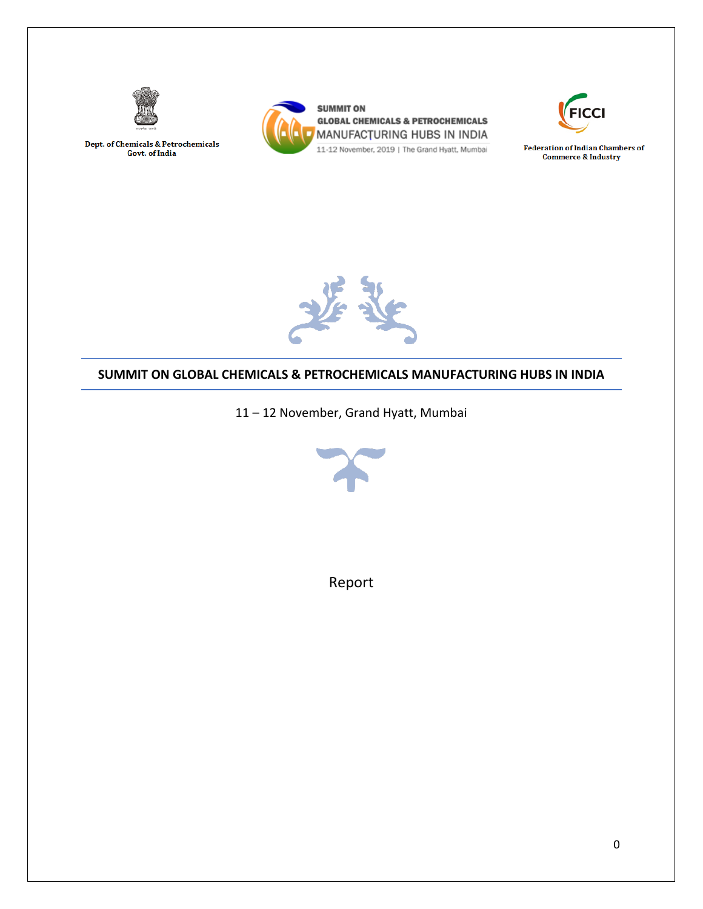

Dept. of Chemicals & Petrochemicals Govt. of India





**Federation of Indian Chambers of Commerce & Industry** 



#### **SUMMIT ON GLOBAL CHEMICALS & PETROCHEMICALS MANUFACTURING HUBS IN INDIA**

11 – 12 November, Grand Hyatt, Mumbai



Report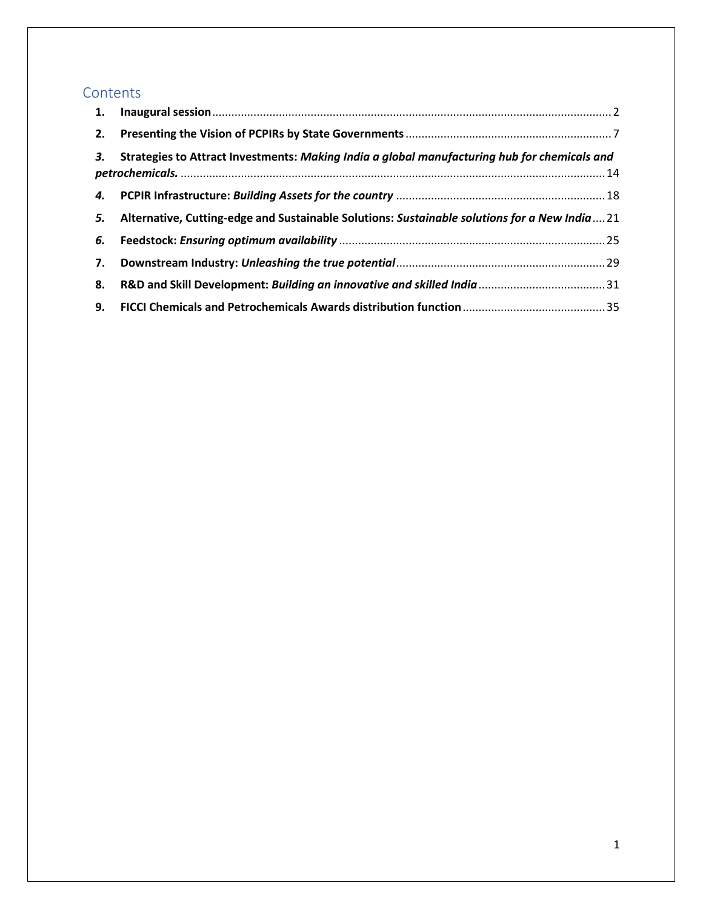# **Contents**

| 3. | Strategies to Attract Investments: Making India a global manufacturing hub for chemicals and |  |
|----|----------------------------------------------------------------------------------------------|--|
|    |                                                                                              |  |
| 5. | Alternative, Cutting-edge and Sustainable Solutions: Sustainable solutions for a New India21 |  |
| 6. |                                                                                              |  |
| 7. |                                                                                              |  |
| 8. |                                                                                              |  |
| 9. |                                                                                              |  |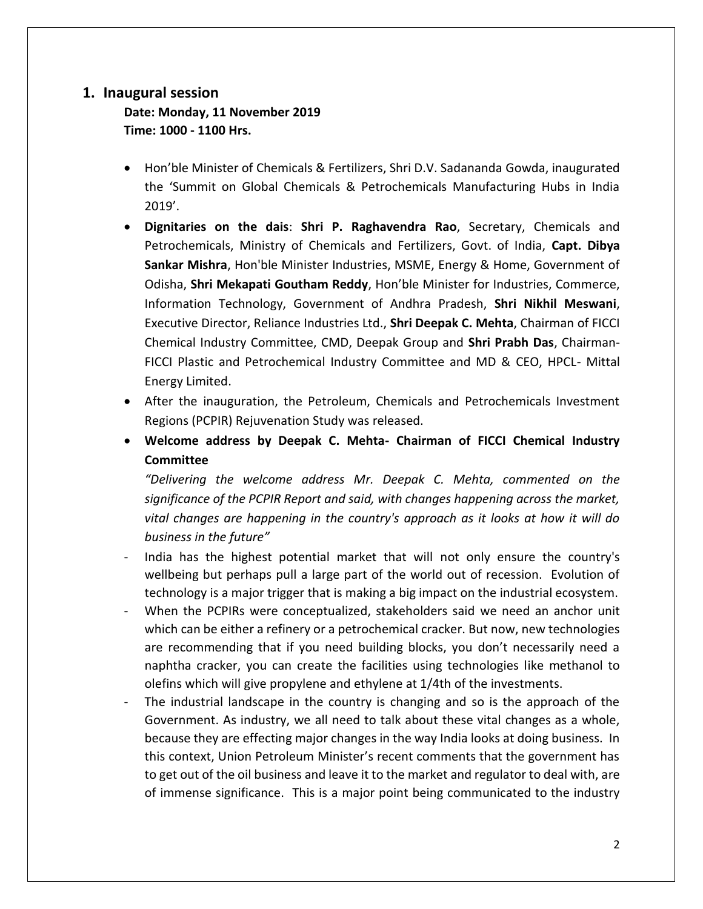## <span id="page-2-0"></span>**1. Inaugural session**

# **Date: Monday, 11 November 2019 Time: 1000 - 1100 Hrs.**

- Hon'ble Minister of Chemicals & Fertilizers, Shri D.V. Sadananda Gowda, inaugurated the 'Summit on Global Chemicals & Petrochemicals Manufacturing Hubs in India 2019'.
- **Dignitaries on the dais**: **Shri P. Raghavendra Rao**, Secretary, Chemicals and Petrochemicals, Ministry of Chemicals and Fertilizers, Govt. of India, **Capt. Dibya Sankar Mishra**, Hon'ble Minister Industries, MSME, Energy & Home, Government of Odisha, **Shri Mekapati Goutham Reddy**, Hon'ble Minister for Industries, Commerce, Information Technology, Government of Andhra Pradesh, **Shri Nikhil Meswani**, Executive Director, Reliance Industries Ltd., **Shri Deepak C. Mehta**, Chairman of FICCI Chemical Industry Committee, CMD, Deepak Group and **Shri Prabh Das**, Chairman-FICCI Plastic and Petrochemical Industry Committee and MD & CEO, HPCL- Mittal Energy Limited.
- After the inauguration, the Petroleum, Chemicals and Petrochemicals Investment Regions (PCPIR) Rejuvenation Study was released.
- **Welcome address by Deepak C. Mehta- Chairman of FICCI Chemical Industry Committee**

*"Delivering the welcome address Mr. Deepak C. Mehta, commented on the significance of the PCPIR Report and said, with changes happening across the market, vital changes are happening in the country's approach as it looks at how it will do business in the future"*

- India has the highest potential market that will not only ensure the country's wellbeing but perhaps pull a large part of the world out of recession. Evolution of technology is a major trigger that is making a big impact on the industrial ecosystem.
- When the PCPIRs were conceptualized, stakeholders said we need an anchor unit which can be either a refinery or a petrochemical cracker. But now, new technologies are recommending that if you need building blocks, you don't necessarily need a naphtha cracker, you can create the facilities using technologies like methanol to olefins which will give propylene and ethylene at 1/4th of the investments.
- The industrial landscape in the country is changing and so is the approach of the Government. As industry, we all need to talk about these vital changes as a whole, because they are effecting major changes in the way India looks at doing business. In this context, Union Petroleum Minister's recent comments that the government has to get out of the oil business and leave it to the market and regulator to deal with, are of immense significance. This is a major point being communicated to the industry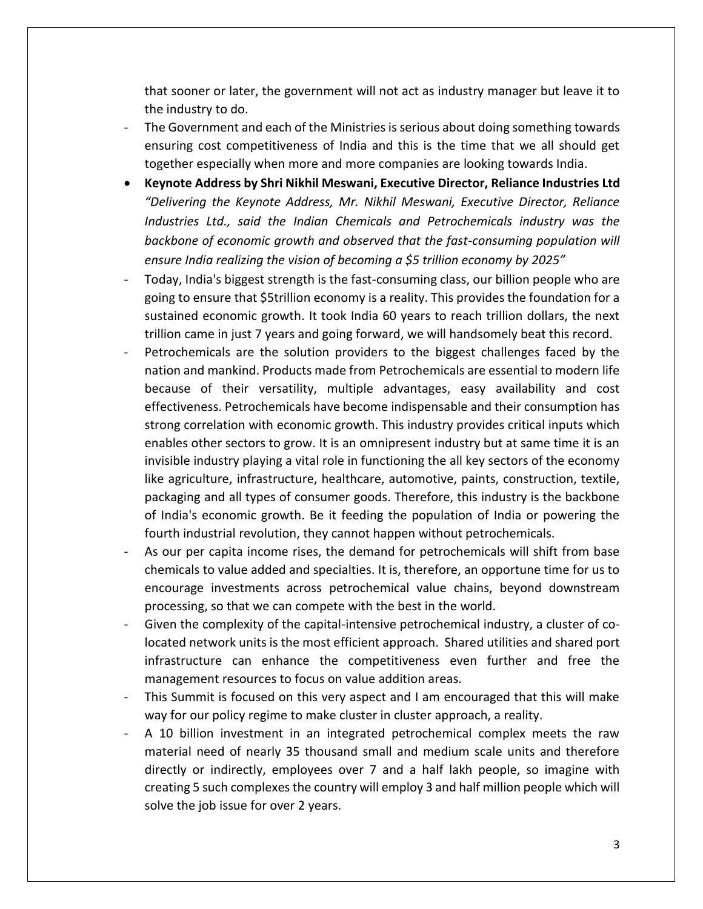that sooner or later, the government will not act as industry manager but leave it to the industry to do.

- The Government and each of the Ministries is serious about doing something towards ensuring cost competitiveness of India and this is the time that we all should get together especially when more and more companies are looking towards India.
- **Keynote Address by Shri Nikhil Meswani, Executive Director, Reliance Industries Ltd** *"Delivering the Keynote Address, Mr. Nikhil Meswani, Executive Director, Reliance Industries Ltd., said the Indian Chemicals and Petrochemicals industry was the backbone of economic growth and observed that the fast-consuming population will ensure India realizing the vision of becoming a \$5 trillion economy by 2025"*
- Today, India's biggest strength is the fast-consuming class, our billion people who are going to ensure that \$5trillion economy is a reality. This provides the foundation for a sustained economic growth. It took India 60 years to reach trillion dollars, the next trillion came in just 7 years and going forward, we will handsomely beat this record.
- Petrochemicals are the solution providers to the biggest challenges faced by the nation and mankind. Products made from Petrochemicals are essential to modern life because of their versatility, multiple advantages, easy availability and cost effectiveness. Petrochemicals have become indispensable and their consumption has strong correlation with economic growth. This industry provides critical inputs which enables other sectors to grow. It is an omnipresent industry but at same time it is an invisible industry playing a vital role in functioning the all key sectors of the economy like agriculture, infrastructure, healthcare, automotive, paints, construction, textile, packaging and all types of consumer goods. Therefore, this industry is the backbone of India's economic growth. Be it feeding the population of India or powering the fourth industrial revolution, they cannot happen without petrochemicals.
- As our per capita income rises, the demand for petrochemicals will shift from base chemicals to value added and specialties. It is, therefore, an opportune time for us to encourage investments across petrochemical value chains, beyond downstream processing, so that we can compete with the best in the world.
- Given the complexity of the capital-intensive petrochemical industry, a cluster of colocated network units is the most efficient approach. Shared utilities and shared port infrastructure can enhance the competitiveness even further and free the management resources to focus on value addition areas.
- This Summit is focused on this very aspect and I am encouraged that this will make way for our policy regime to make cluster in cluster approach, a reality.
- A 10 billion investment in an integrated petrochemical complex meets the raw material need of nearly 35 thousand small and medium scale units and therefore directly or indirectly, employees over 7 and a half lakh people, so imagine with creating 5 such complexes the country will employ 3 and half million people which will solve the job issue for over 2 years.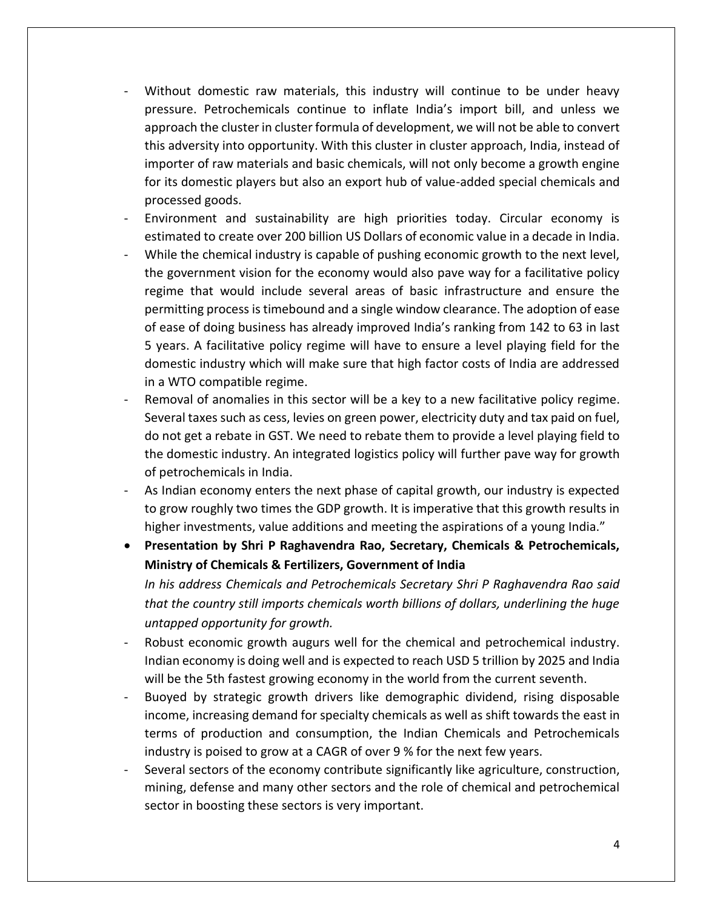- Without domestic raw materials, this industry will continue to be under heavy pressure. Petrochemicals continue to inflate India's import bill, and unless we approach the cluster in cluster formula of development, we will not be able to convert this adversity into opportunity. With this cluster in cluster approach, India, instead of importer of raw materials and basic chemicals, will not only become a growth engine for its domestic players but also an export hub of value-added special chemicals and processed goods.
- Environment and sustainability are high priorities today. Circular economy is estimated to create over 200 billion US Dollars of economic value in a decade in India.
- While the chemical industry is capable of pushing economic growth to the next level, the government vision for the economy would also pave way for a facilitative policy regime that would include several areas of basic infrastructure and ensure the permitting process is timebound and a single window clearance. The adoption of ease of ease of doing business has already improved India's ranking from 142 to 63 in last 5 years. A facilitative policy regime will have to ensure a level playing field for the domestic industry which will make sure that high factor costs of India are addressed in a WTO compatible regime.
- Removal of anomalies in this sector will be a key to a new facilitative policy regime. Several taxes such as cess, levies on green power, electricity duty and tax paid on fuel, do not get a rebate in GST. We need to rebate them to provide a level playing field to the domestic industry. An integrated logistics policy will further pave way for growth of petrochemicals in India.
- As Indian economy enters the next phase of capital growth, our industry is expected to grow roughly two times the GDP growth. It is imperative that this growth results in higher investments, value additions and meeting the aspirations of a young India."
- **Presentation by Shri P Raghavendra Rao, Secretary, Chemicals & Petrochemicals, Ministry of Chemicals & Fertilizers, Government of India** *In his address Chemicals and Petrochemicals Secretary Shri P Raghavendra Rao said that the country still imports chemicals worth billions of dollars, underlining the huge untapped opportunity for growth.*
- Robust economic growth augurs well for the chemical and petrochemical industry. Indian economy is doing well and is expected to reach USD 5 trillion by 2025 and India will be the 5th fastest growing economy in the world from the current seventh.
- Buoyed by strategic growth drivers like demographic dividend, rising disposable income, increasing demand for specialty chemicals as well as shift towards the east in terms of production and consumption, the Indian Chemicals and Petrochemicals industry is poised to grow at a CAGR of over 9 % for the next few years.
- Several sectors of the economy contribute significantly like agriculture, construction, mining, defense and many other sectors and the role of chemical and petrochemical sector in boosting these sectors is very important.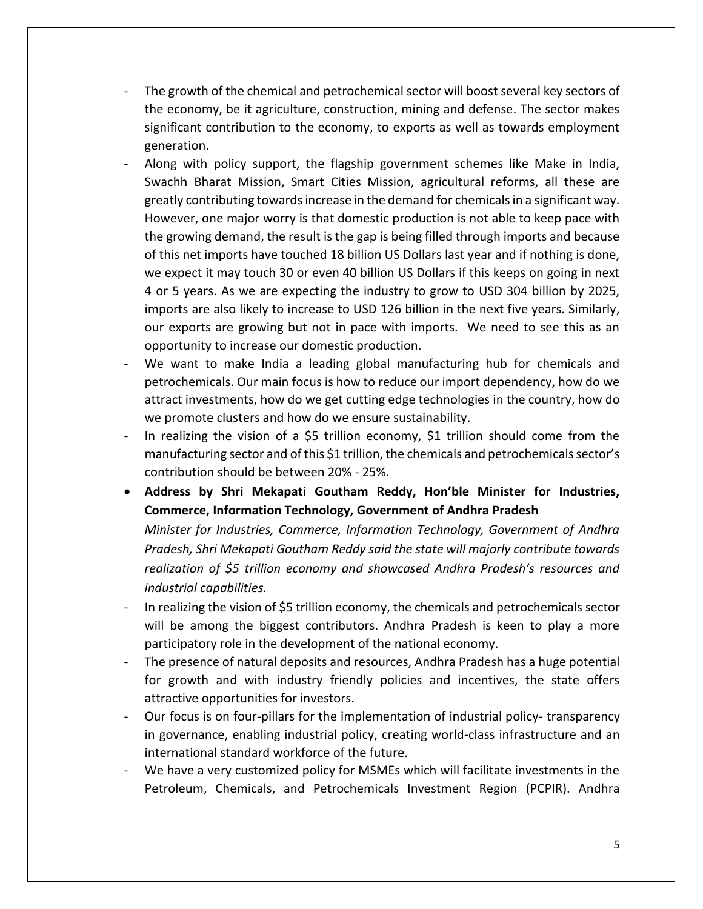- The growth of the chemical and petrochemical sector will boost several key sectors of the economy, be it agriculture, construction, mining and defense. The sector makes significant contribution to the economy, to exports as well as towards employment generation.
- Along with policy support, the flagship government schemes like Make in India, Swachh Bharat Mission, Smart Cities Mission, agricultural reforms, all these are greatly contributing towards increase in the demand for chemicals in a significant way. However, one major worry is that domestic production is not able to keep pace with the growing demand, the result is the gap is being filled through imports and because of this net imports have touched 18 billion US Dollars last year and if nothing is done, we expect it may touch 30 or even 40 billion US Dollars if this keeps on going in next 4 or 5 years. As we are expecting the industry to grow to USD 304 billion by 2025, imports are also likely to increase to USD 126 billion in the next five years. Similarly, our exports are growing but not in pace with imports. We need to see this as an opportunity to increase our domestic production.
- We want to make India a leading global manufacturing hub for chemicals and petrochemicals. Our main focus is how to reduce our import dependency, how do we attract investments, how do we get cutting edge technologies in the country, how do we promote clusters and how do we ensure sustainability.
- In realizing the vision of a \$5 trillion economy, \$1 trillion should come from the manufacturing sector and of this \$1 trillion, the chemicals and petrochemicals sector's contribution should be between 20% - 25%.
- **Address by Shri Mekapati Goutham Reddy, Hon'ble Minister for Industries, Commerce, Information Technology, Government of Andhra Pradesh**

*Minister for Industries, Commerce, Information Technology, Government of Andhra Pradesh, Shri Mekapati Goutham Reddy said the state will majorly contribute towards realization of \$5 trillion economy and showcased Andhra Pradesh's resources and industrial capabilities.* 

- In realizing the vision of \$5 trillion economy, the chemicals and petrochemicals sector will be among the biggest contributors. Andhra Pradesh is keen to play a more participatory role in the development of the national economy.
- The presence of natural deposits and resources, Andhra Pradesh has a huge potential for growth and with industry friendly policies and incentives, the state offers attractive opportunities for investors.
- Our focus is on four-pillars for the implementation of industrial policy- transparency in governance, enabling industrial policy, creating world-class infrastructure and an international standard workforce of the future.
- We have a very customized policy for MSMEs which will facilitate investments in the Petroleum, Chemicals, and Petrochemicals Investment Region (PCPIR). Andhra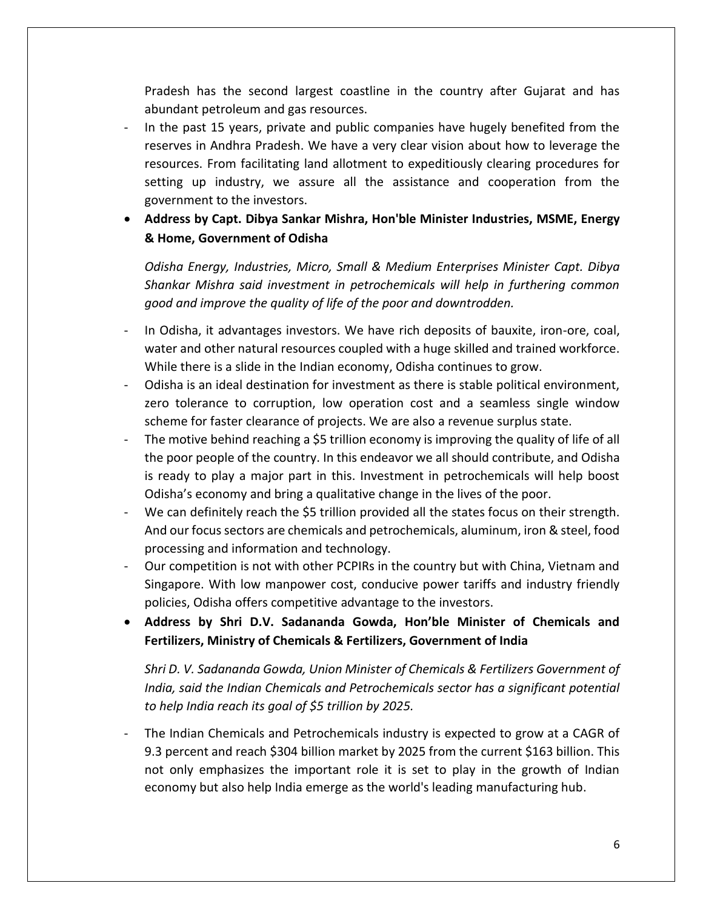Pradesh has the second largest coastline in the country after Gujarat and has abundant petroleum and gas resources.

- In the past 15 years, private and public companies have hugely benefited from the reserves in Andhra Pradesh. We have a very clear vision about how to leverage the resources. From facilitating land allotment to expeditiously clearing procedures for setting up industry, we assure all the assistance and cooperation from the government to the investors.

# • **Address by Capt. Dibya Sankar Mishra, Hon'ble Minister Industries, MSME, Energy & Home, Government of Odisha**

*Odisha Energy, Industries, Micro, Small & Medium Enterprises Minister Capt. Dibya Shankar Mishra said investment in petrochemicals will help in furthering common good and improve the quality of life of the poor and downtrodden.*

- In Odisha, it advantages investors. We have rich deposits of bauxite, iron-ore, coal, water and other natural resources coupled with a huge skilled and trained workforce. While there is a slide in the Indian economy, Odisha continues to grow.
- Odisha is an ideal destination for investment as there is stable political environment, zero tolerance to corruption, low operation cost and a seamless single window scheme for faster clearance of projects. We are also a revenue surplus state.
- The motive behind reaching a \$5 trillion economy is improving the quality of life of all the poor people of the country. In this endeavor we all should contribute, and Odisha is ready to play a major part in this. Investment in petrochemicals will help boost Odisha's economy and bring a qualitative change in the lives of the poor.
- We can definitely reach the \$5 trillion provided all the states focus on their strength. And our focus sectors are chemicals and petrochemicals, aluminum, iron & steel, food processing and information and technology.
- Our competition is not with other PCPIRs in the country but with China, Vietnam and Singapore. With low manpower cost, conducive power tariffs and industry friendly policies, Odisha offers competitive advantage to the investors.
- **Address by Shri D.V. Sadananda Gowda, Hon'ble Minister of Chemicals and Fertilizers, Ministry of Chemicals & Fertilizers, Government of India**

*Shri D. V. Sadananda Gowda, Union Minister of Chemicals & Fertilizers Government of India, said the Indian Chemicals and Petrochemicals sector has a significant potential to help India reach its goal of \$5 trillion by 2025.*

- The Indian Chemicals and Petrochemicals industry is expected to grow at a CAGR of 9.3 percent and reach \$304 billion market by 2025 from the current \$163 billion. This not only emphasizes the important role it is set to play in the growth of Indian economy but also help India emerge as the world's leading manufacturing hub.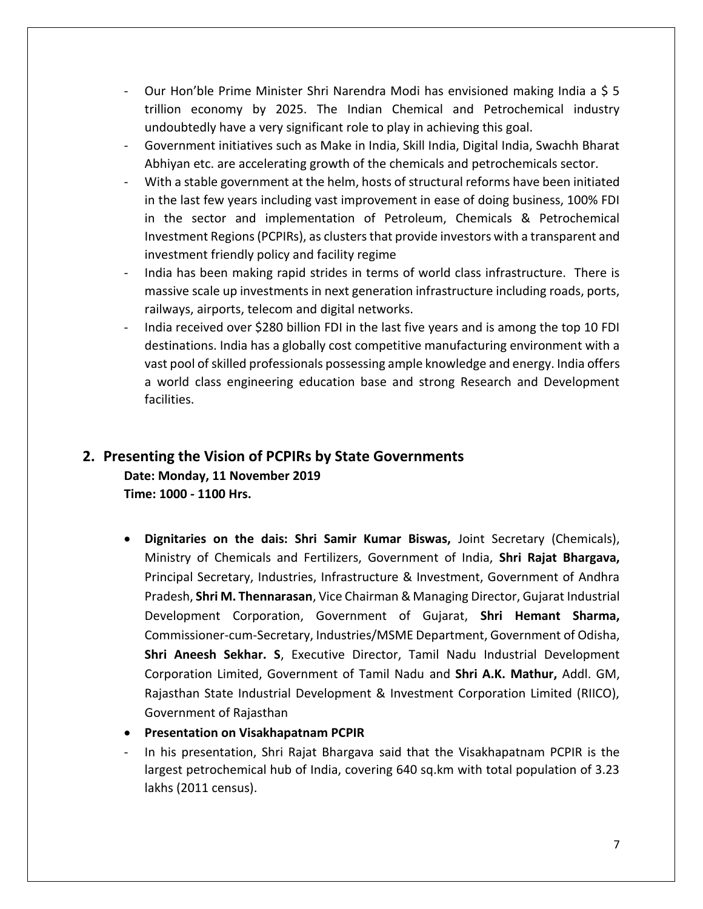- Our Hon'ble Prime Minister Shri Narendra Modi has envisioned making India a \$ 5 trillion economy by 2025. The Indian Chemical and Petrochemical industry undoubtedly have a very significant role to play in achieving this goal.
- Government initiatives such as Make in India, Skill India, Digital India, Swachh Bharat Abhiyan etc. are accelerating growth of the chemicals and petrochemicals sector.
- With a stable government at the helm, hosts of structural reforms have been initiated in the last few years including vast improvement in ease of doing business, 100% FDI in the sector and implementation of Petroleum, Chemicals & Petrochemical Investment Regions (PCPIRs), as clusters that provide investors with a transparent and investment friendly policy and facility regime
- India has been making rapid strides in terms of world class infrastructure. There is massive scale up investments in next generation infrastructure including roads, ports, railways, airports, telecom and digital networks.
- India received over \$280 billion FDI in the last five years and is among the top 10 FDI destinations. India has a globally cost competitive manufacturing environment with a vast pool of skilled professionals possessing ample knowledge and energy. India offers a world class engineering education base and strong Research and Development facilities.

# <span id="page-7-0"></span>**2. Presenting the Vision of PCPIRs by State Governments Date: Monday, 11 November 2019 Time: 1000 - 1100 Hrs.**

- **Dignitaries on the dais: Shri Samir Kumar Biswas,** Joint Secretary (Chemicals), Ministry of Chemicals and Fertilizers, Government of India, **Shri Rajat Bhargava,**  Principal Secretary, Industries, Infrastructure & Investment, Government of Andhra Pradesh, **Shri M. Thennarasan**, Vice Chairman & Managing Director, Gujarat Industrial Development Corporation, Government of Gujarat, **Shri Hemant Sharma,** Commissioner-cum-Secretary, Industries/MSME Department, Government of Odisha, **Shri Aneesh Sekhar. S**, Executive Director, Tamil Nadu Industrial Development Corporation Limited, Government of Tamil Nadu and **Shri A.K. Mathur,** Addl. GM, Rajasthan State Industrial Development & Investment Corporation Limited (RIICO), Government of Rajasthan
- **Presentation on Visakhapatnam PCPIR**
- In his presentation, Shri Rajat Bhargava said that the Visakhapatnam PCPIR is the largest petrochemical hub of India, covering 640 sq.km with total population of 3.23 lakhs (2011 census).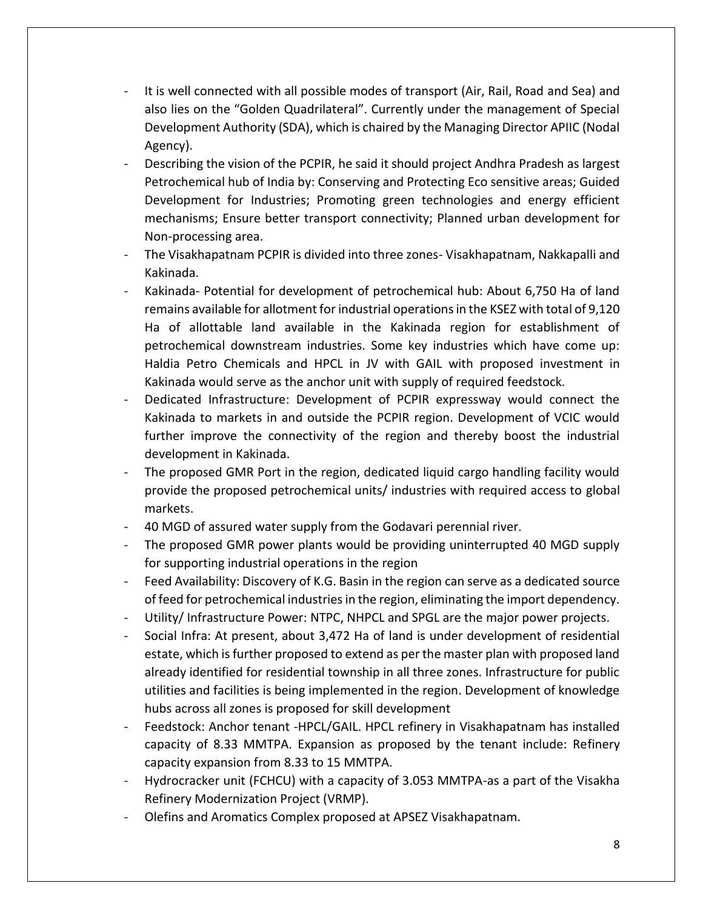- It is well connected with all possible modes of transport (Air, Rail, Road and Sea) and also lies on the "Golden Quadrilateral". Currently under the management of Special Development Authority (SDA), which is chaired by the Managing Director APIIC (Nodal Agency).
- Describing the vision of the PCPIR, he said it should project Andhra Pradesh as largest Petrochemical hub of India by: Conserving and Protecting Eco sensitive areas; Guided Development for Industries; Promoting green technologies and energy efficient mechanisms; Ensure better transport connectivity; Planned urban development for Non-processing area.
- The Visakhapatnam PCPIR is divided into three zones- Visakhapatnam, Nakkapalli and Kakinada.
- Kakinada- Potential for development of petrochemical hub: About 6,750 Ha of land remains available for allotment for industrial operations in the KSEZ with total of 9,120 Ha of allottable land available in the Kakinada region for establishment of petrochemical downstream industries. Some key industries which have come up: Haldia Petro Chemicals and HPCL in JV with GAIL with proposed investment in Kakinada would serve as the anchor unit with supply of required feedstock.
- Dedicated Infrastructure: Development of PCPIR expressway would connect the Kakinada to markets in and outside the PCPIR region. Development of VCIC would further improve the connectivity of the region and thereby boost the industrial development in Kakinada.
- The proposed GMR Port in the region, dedicated liquid cargo handling facility would provide the proposed petrochemical units/ industries with required access to global markets.
- 40 MGD of assured water supply from the Godavari perennial river.
- The proposed GMR power plants would be providing uninterrupted 40 MGD supply for supporting industrial operations in the region
- Feed Availability: Discovery of K.G. Basin in the region can serve as a dedicated source of feed for petrochemical industries in the region, eliminating the import dependency.
- Utility/ Infrastructure Power: NTPC, NHPCL and SPGL are the major power projects.
- Social Infra: At present, about 3,472 Ha of land is under development of residential estate, which is further proposed to extend as per the master plan with proposed land already identified for residential township in all three zones. Infrastructure for public utilities and facilities is being implemented in the region. Development of knowledge hubs across all zones is proposed for skill development
- Feedstock: Anchor tenant -HPCL/GAIL. HPCL refinery in Visakhapatnam has installed capacity of 8.33 MMTPA. Expansion as proposed by the tenant include: Refinery capacity expansion from 8.33 to 15 MMTPA.
- Hydrocracker unit (FCHCU) with a capacity of 3.053 MMTPA-as a part of the Visakha Refinery Modernization Project (VRMP).
- Olefins and Aromatics Complex proposed at APSEZ Visakhapatnam.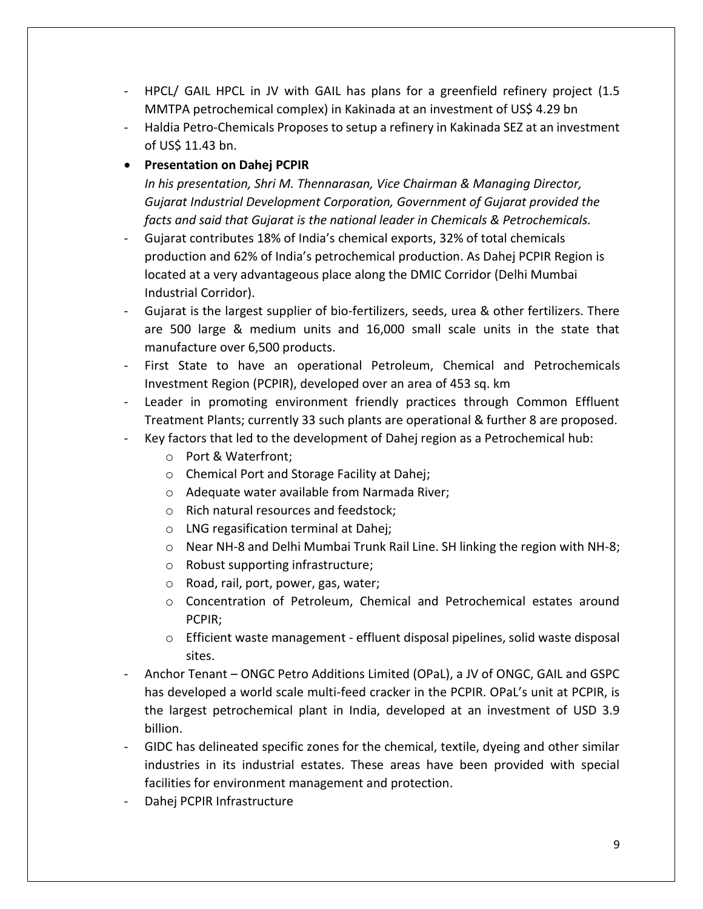- HPCL/ GAIL HPCL in JV with GAIL has plans for a greenfield refinery project (1.5 MMTPA petrochemical complex) in Kakinada at an investment of US\$ 4.29 bn
- Haldia Petro-Chemicals Proposes to setup a refinery in Kakinada SEZ at an investment of US\$ 11.43 bn.

## • **Presentation on Dahej PCPIR**

*In his presentation, Shri M. Thennarasan, Vice Chairman & Managing Director, Gujarat Industrial Development Corporation, Government of Gujarat provided the facts and said that Gujarat is the national leader in Chemicals & Petrochemicals.*

- Gujarat contributes 18% of India's chemical exports, 32% of total chemicals production and 62% of India's petrochemical production. As Dahej PCPIR Region is located at a very advantageous place along the DMIC Corridor (Delhi Mumbai Industrial Corridor).
- Gujarat is the largest supplier of bio-fertilizers, seeds, urea & other fertilizers. There are 500 large & medium units and 16,000 small scale units in the state that manufacture over 6,500 products.
- First State to have an operational Petroleum, Chemical and Petrochemicals Investment Region (PCPIR), developed over an area of 453 sq. km
- Leader in promoting environment friendly practices through Common Effluent Treatment Plants; currently 33 such plants are operational & further 8 are proposed.
- Key factors that led to the development of Dahej region as a Petrochemical hub:
	- o Port & Waterfront;
	- o Chemical Port and Storage Facility at Dahej;
	- o Adequate water available from Narmada River;
	- o Rich natural resources and feedstock;
	- o LNG regasification terminal at Dahej;
	- $\circ$  Near NH-8 and Delhi Mumbai Trunk Rail Line. SH linking the region with NH-8;
	- o Robust supporting infrastructure;
	- o Road, rail, port, power, gas, water;
	- o Concentration of Petroleum, Chemical and Petrochemical estates around PCPIR;
	- o Efficient waste management effluent disposal pipelines, solid waste disposal sites.
- Anchor Tenant ONGC Petro Additions Limited (OPaL), a JV of ONGC, GAIL and GSPC has developed a world scale multi-feed cracker in the PCPIR. OPaL's unit at PCPIR, is the largest petrochemical plant in India, developed at an investment of USD 3.9 billion.
- GIDC has delineated specific zones for the chemical, textile, dyeing and other similar industries in its industrial estates. These areas have been provided with special facilities for environment management and protection.
- Dahej PCPIR Infrastructure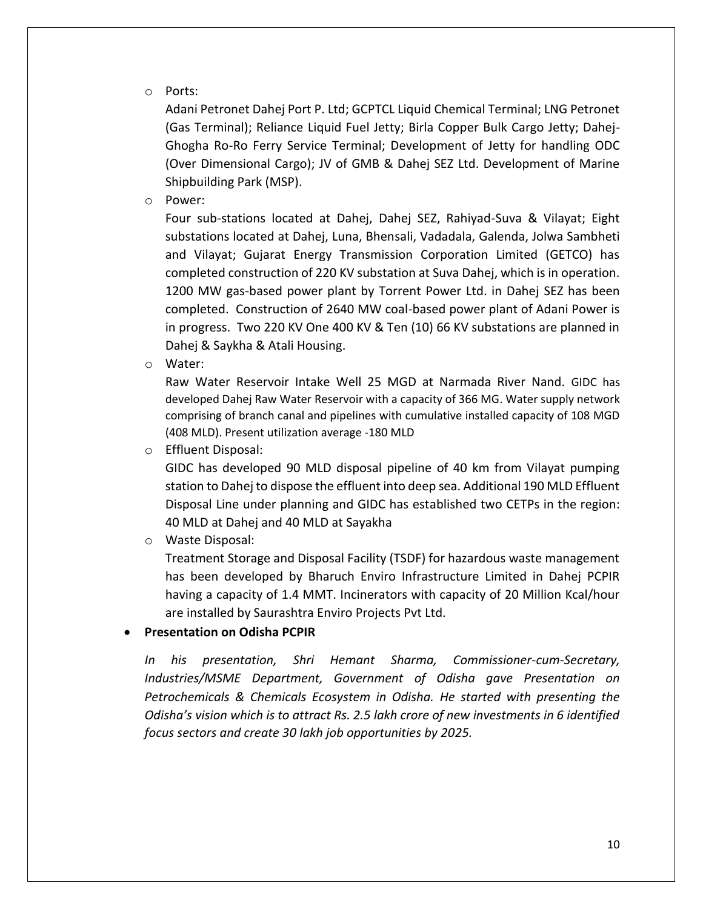#### o Ports:

Adani Petronet Dahej Port P. Ltd; GCPTCL Liquid Chemical Terminal; LNG Petronet (Gas Terminal); Reliance Liquid Fuel Jetty; Birla Copper Bulk Cargo Jetty; Dahej-Ghogha Ro-Ro Ferry Service Terminal; Development of Jetty for handling ODC (Over Dimensional Cargo); JV of GMB & Dahej SEZ Ltd. Development of Marine Shipbuilding Park (MSP).

o Power:

Four sub-stations located at Dahej, Dahej SEZ, Rahiyad-Suva & Vilayat; Eight substations located at Dahej, Luna, Bhensali, Vadadala, Galenda, Jolwa Sambheti and Vilayat; Gujarat Energy Transmission Corporation Limited (GETCO) has completed construction of 220 KV substation at Suva Dahej, which is in operation. 1200 MW gas-based power plant by Torrent Power Ltd. in Dahej SEZ has been completed. Construction of 2640 MW coal-based power plant of Adani Power is in progress. Two 220 KV One 400 KV & Ten (10) 66 KV substations are planned in Dahej & Saykha & Atali Housing.

o Water:

Raw Water Reservoir Intake Well 25 MGD at Narmada River Nand. GIDC has developed Dahej Raw Water Reservoir with a capacity of 366 MG. Water supply network comprising of branch canal and pipelines with cumulative installed capacity of 108 MGD (408 MLD). Present utilization average -180 MLD

o Effluent Disposal:

GIDC has developed 90 MLD disposal pipeline of 40 km from Vilayat pumping station to Dahej to dispose the effluent into deep sea. Additional 190 MLD Effluent Disposal Line under planning and GIDC has established two CETPs in the region: 40 MLD at Dahej and 40 MLD at Sayakha

o Waste Disposal:

Treatment Storage and Disposal Facility (TSDF) for hazardous waste management has been developed by Bharuch Enviro Infrastructure Limited in Dahej PCPIR having a capacity of 1.4 MMT. Incinerators with capacity of 20 Million Kcal/hour are installed by Saurashtra Enviro Projects Pvt Ltd.

#### • **Presentation on Odisha PCPIR**

*In his presentation, Shri Hemant Sharma, Commissioner-cum-Secretary, Industries/MSME Department, Government of Odisha gave Presentation on Petrochemicals & Chemicals Ecosystem in Odisha. He started with presenting the Odisha's vision which is to attract Rs. 2.5 lakh crore of new investments in 6 identified focus sectors and create 30 lakh job opportunities by 2025.*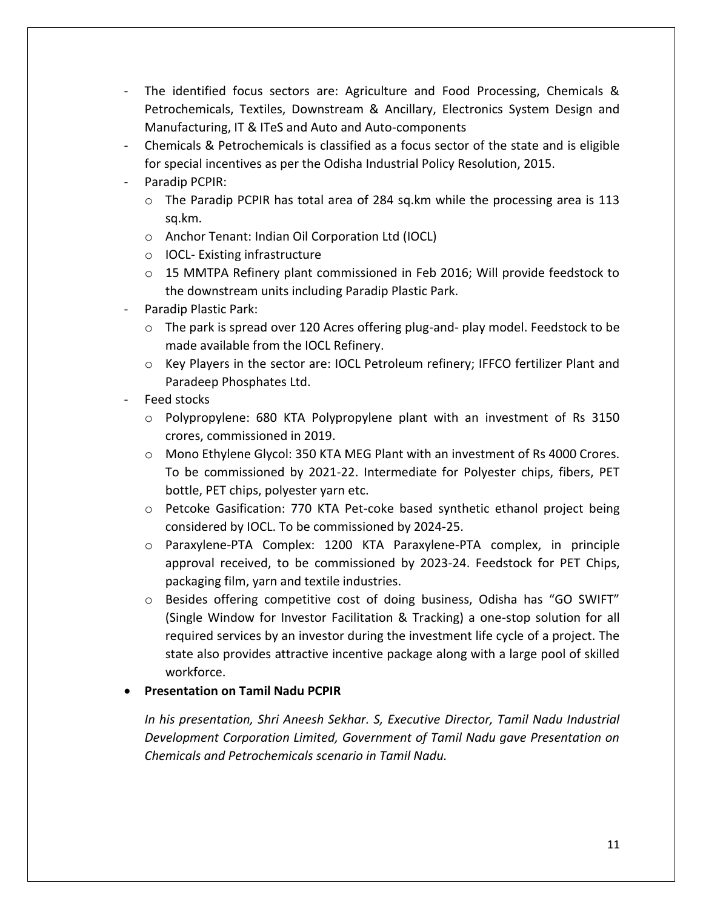- The identified focus sectors are: Agriculture and Food Processing, Chemicals & Petrochemicals, Textiles, Downstream & Ancillary, Electronics System Design and Manufacturing, IT & ITeS and Auto and Auto-components
- Chemicals & Petrochemicals is classified as a focus sector of the state and is eligible for special incentives as per the Odisha Industrial Policy Resolution, 2015.
- Paradip PCPIR:
	- o The Paradip PCPIR has total area of 284 sq.km while the processing area is 113 sq.km.
	- o Anchor Tenant: Indian Oil Corporation Ltd (IOCL)
	- o IOCL- Existing infrastructure
	- o 15 MMTPA Refinery plant commissioned in Feb 2016; Will provide feedstock to the downstream units including Paradip Plastic Park.
- Paradip Plastic Park:
	- $\circ$  The park is spread over 120 Acres offering plug-and- play model. Feedstock to be made available from the IOCL Refinery.
	- o Key Players in the sector are: IOCL Petroleum refinery; IFFCO fertilizer Plant and Paradeep Phosphates Ltd.
- Feed stocks
	- o Polypropylene: 680 KTA Polypropylene plant with an investment of Rs 3150 crores, commissioned in 2019.
	- o Mono Ethylene Glycol: 350 KTA MEG Plant with an investment of Rs 4000 Crores. To be commissioned by 2021-22. Intermediate for Polyester chips, fibers, PET bottle, PET chips, polyester yarn etc.
	- o Petcoke Gasification: 770 KTA Pet-coke based synthetic ethanol project being considered by IOCL. To be commissioned by 2024-25.
	- o Paraxylene-PTA Complex: 1200 KTA Paraxylene-PTA complex, in principle approval received, to be commissioned by 2023-24. Feedstock for PET Chips, packaging film, yarn and textile industries.
	- o Besides offering competitive cost of doing business, Odisha has "GO SWIFT" (Single Window for Investor Facilitation & Tracking) a one-stop solution for all required services by an investor during the investment life cycle of a project. The state also provides attractive incentive package along with a large pool of skilled workforce.

#### • **Presentation on Tamil Nadu PCPIR**

*In his presentation, Shri Aneesh Sekhar. S, Executive Director, Tamil Nadu Industrial Development Corporation Limited, Government of Tamil Nadu gave Presentation on Chemicals and Petrochemicals scenario in Tamil Nadu.*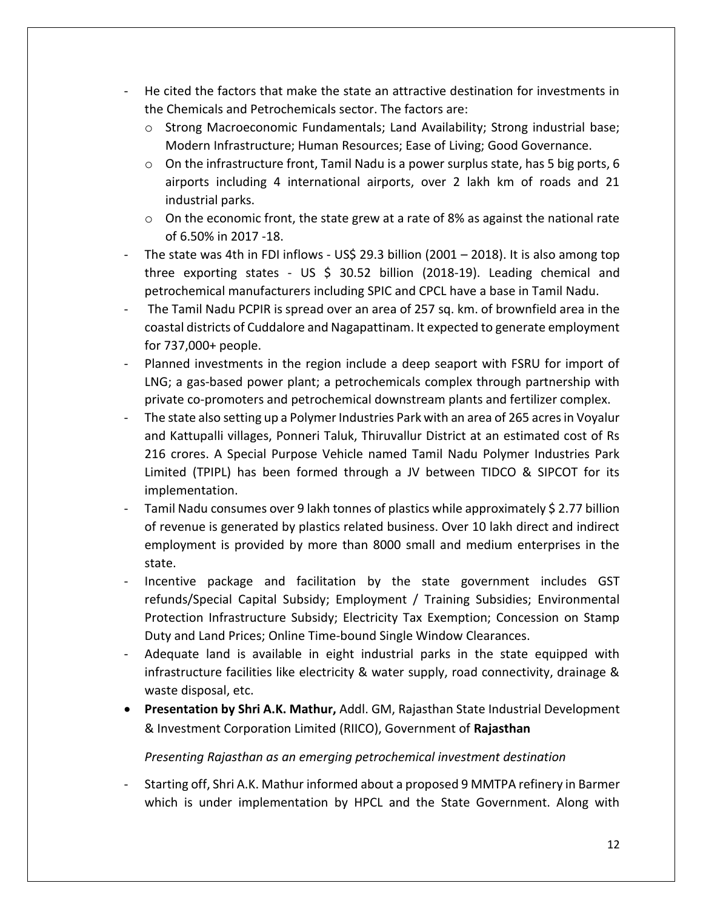- He cited the factors that make the state an attractive destination for investments in the Chemicals and Petrochemicals sector. The factors are:
	- $\circ$  Strong Macroeconomic Fundamentals; Land Availability; Strong industrial base; Modern Infrastructure; Human Resources; Ease of Living; Good Governance.
	- o On the infrastructure front, Tamil Nadu is a power surplus state, has 5 big ports, 6 airports including 4 international airports, over 2 lakh km of roads and 21 industrial parks.
	- $\circ$  On the economic front, the state grew at a rate of 8% as against the national rate of 6.50% in 2017 -18.
- The state was 4th in FDI inflows US\$ 29.3 billion (2001 2018). It is also among top three exporting states - US \$ 30.52 billion (2018-19). Leading chemical and petrochemical manufacturers including SPIC and CPCL have a base in Tamil Nadu.
- The Tamil Nadu PCPIR is spread over an area of 257 sq. km. of brownfield area in the coastal districts of Cuddalore and Nagapattinam. It expected to generate employment for 737,000+ people.
- Planned investments in the region include a deep seaport with FSRU for import of LNG; a gas-based power plant; a petrochemicals complex through partnership with private co-promoters and petrochemical downstream plants and fertilizer complex.
- The state also setting up a Polymer Industries Park with an area of 265 acres in Voyalur and Kattupalli villages, Ponneri Taluk, Thiruvallur District at an estimated cost of Rs 216 crores. A Special Purpose Vehicle named Tamil Nadu Polymer Industries Park Limited (TPIPL) has been formed through a JV between TIDCO & SIPCOT for its implementation.
- Tamil Nadu consumes over 9 lakh tonnes of plastics while approximately \$ 2.77 billion of revenue is generated by plastics related business. Over 10 lakh direct and indirect employment is provided by more than 8000 small and medium enterprises in the state.
- Incentive package and facilitation by the state government includes GST refunds/Special Capital Subsidy; Employment / Training Subsidies; Environmental Protection Infrastructure Subsidy; Electricity Tax Exemption; Concession on Stamp Duty and Land Prices; Online Time-bound Single Window Clearances.
- Adequate land is available in eight industrial parks in the state equipped with infrastructure facilities like electricity & water supply, road connectivity, drainage & waste disposal, etc.
- **Presentation by Shri A.K. Mathur,** Addl. GM, Rajasthan State Industrial Development & Investment Corporation Limited (RIICO), Government of **Rajasthan**

*Presenting Rajasthan as an emerging petrochemical investment destination*

- Starting off, Shri A.K. Mathur informed about a proposed 9 MMTPA refinery in Barmer which is under implementation by HPCL and the State Government. Along with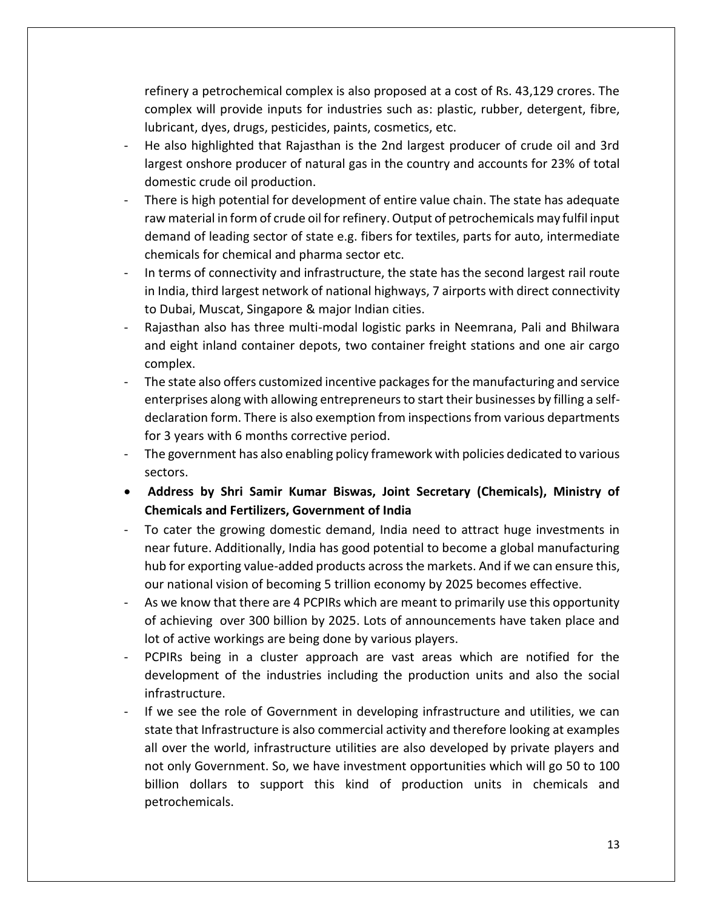refinery a petrochemical complex is also proposed at a cost of Rs. 43,129 crores. The complex will provide inputs for industries such as: plastic, rubber, detergent, fibre, lubricant, dyes, drugs, pesticides, paints, cosmetics, etc.

- He also highlighted that Rajasthan is the 2nd largest producer of crude oil and 3rd largest onshore producer of natural gas in the country and accounts for 23% of total domestic crude oil production.
- There is high potential for development of entire value chain. The state has adequate raw material in form of crude oil for refinery. Output of petrochemicals may fulfil input demand of leading sector of state e.g. fibers for textiles, parts for auto, intermediate chemicals for chemical and pharma sector etc.
- In terms of connectivity and infrastructure, the state has the second largest rail route in India, third largest network of national highways, 7 airports with direct connectivity to Dubai, Muscat, Singapore & major Indian cities.
- Rajasthan also has three multi-modal logistic parks in Neemrana, Pali and Bhilwara and eight inland container depots, two container freight stations and one air cargo complex.
- The state also offers customized incentive packages for the manufacturing and service enterprises along with allowing entrepreneurs to start their businesses by filling a selfdeclaration form. There is also exemption from inspections from various departments for 3 years with 6 months corrective period.
- The government has also enabling policy framework with policies dedicated to various sectors.
- **Address by Shri Samir Kumar Biswas, Joint Secretary (Chemicals), Ministry of Chemicals and Fertilizers, Government of India**
- To cater the growing domestic demand, India need to attract huge investments in near future. Additionally, India has good potential to become a global manufacturing hub for exporting value-added products across the markets. And if we can ensure this, our national vision of becoming 5 trillion economy by 2025 becomes effective.
- As we know that there are 4 PCPIRs which are meant to primarily use this opportunity of achieving over 300 billion by 2025. Lots of announcements have taken place and lot of active workings are being done by various players.
- PCPIRs being in a cluster approach are vast areas which are notified for the development of the industries including the production units and also the social infrastructure.
- If we see the role of Government in developing infrastructure and utilities, we can state that Infrastructure is also commercial activity and therefore looking at examples all over the world, infrastructure utilities are also developed by private players and not only Government. So, we have investment opportunities which will go 50 to 100 billion dollars to support this kind of production units in chemicals and petrochemicals.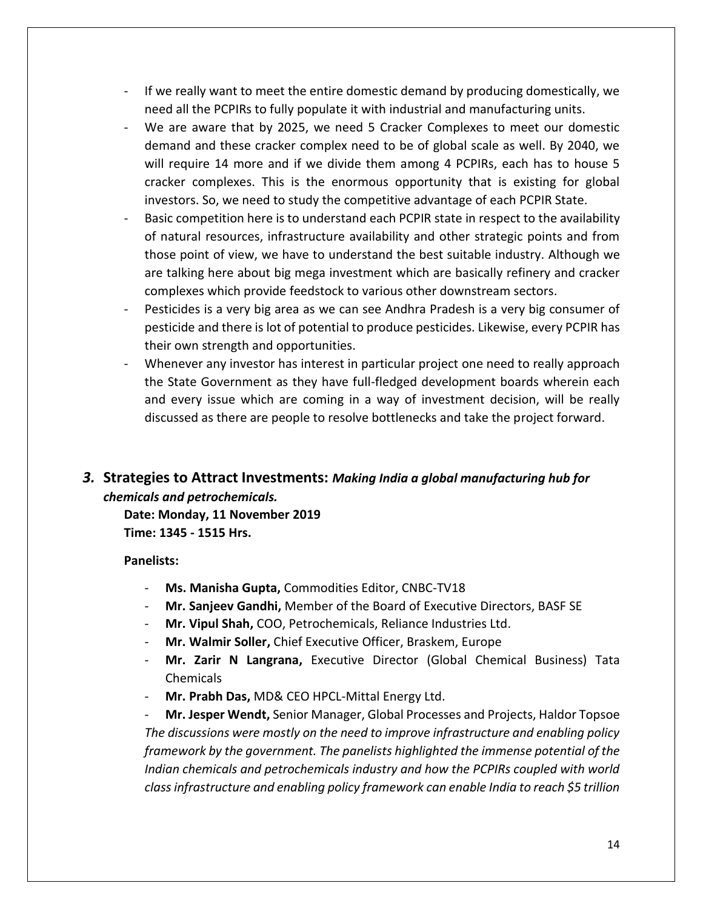- If we really want to meet the entire domestic demand by producing domestically, we need all the PCPIRs to fully populate it with industrial and manufacturing units.
- We are aware that by 2025, we need 5 Cracker Complexes to meet our domestic demand and these cracker complex need to be of global scale as well. By 2040, we will require 14 more and if we divide them among 4 PCPIRs, each has to house 5 cracker complexes. This is the enormous opportunity that is existing for global investors. So, we need to study the competitive advantage of each PCPIR State.
- Basic competition here is to understand each PCPIR state in respect to the availability of natural resources, infrastructure availability and other strategic points and from those point of view, we have to understand the best suitable industry. Although we are talking here about big mega investment which are basically refinery and cracker complexes which provide feedstock to various other downstream sectors.
- Pesticides is a very big area as we can see Andhra Pradesh is a very big consumer of pesticide and there is lot of potential to produce pesticides. Likewise, every PCPIR has their own strength and opportunities.
- Whenever any investor has interest in particular project one need to really approach the State Government as they have full-fledged development boards wherein each and every issue which are coming in a way of investment decision, will be really discussed as there are people to resolve bottlenecks and take the project forward.

# <span id="page-14-0"></span>*3.* **Strategies to Attract Investments:** *Making India a global manufacturing hub for chemicals and petrochemicals.*

**Date: Monday, 11 November 2019 Time: 1345 - 1515 Hrs.**

#### **Panelists:**

- **Ms. Manisha Gupta,** Commodities Editor, CNBC-TV18
- **Mr. Sanjeev Gandhi,** Member of the Board of Executive Directors, BASF SE
- **Mr. Vipul Shah,** COO, Petrochemicals, Reliance Industries Ltd.
- **Mr. Walmir Soller,** Chief Executive Officer, Braskem, Europe
- **Mr. Zarir N Langrana,** Executive Director (Global Chemical Business) Tata Chemicals
- **Mr. Prabh Das,** MD& CEO HPCL-Mittal Energy Ltd.

- **Mr. Jesper Wendt,** Senior Manager, Global Processes and Projects, Haldor Topsoe *The discussions were mostly on the need to improve infrastructure and enabling policy framework by the government. The panelists highlighted the immense potential of the Indian chemicals and petrochemicals industry and how the PCPIRs coupled with world class infrastructure and enabling policy framework can enable India to reach \$5 trillion*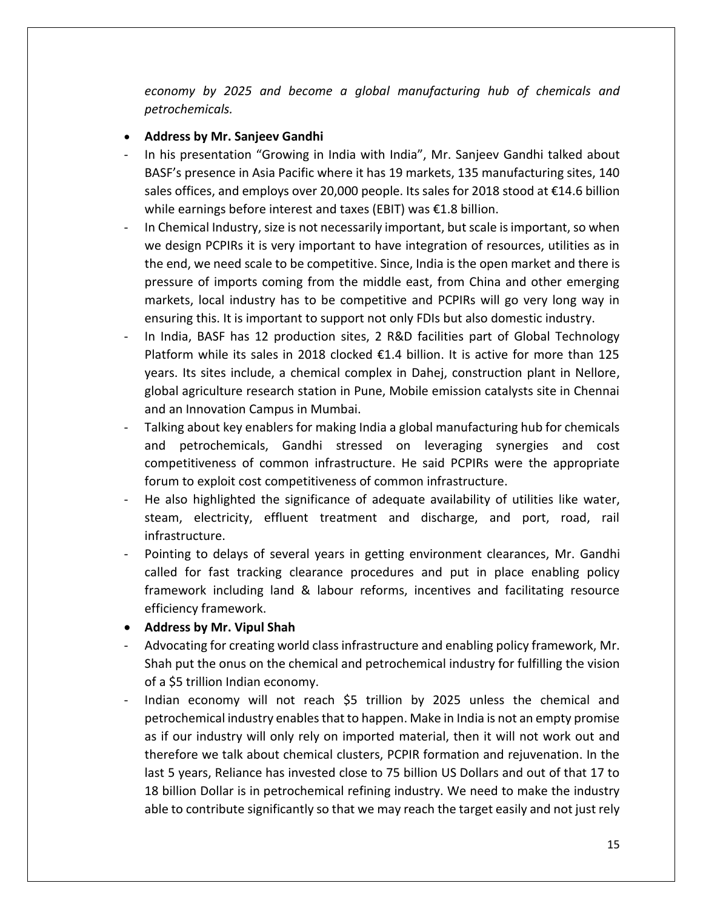*economy by 2025 and become a global manufacturing hub of chemicals and petrochemicals.*

#### • **Address by Mr. Sanjeev Gandhi**

- In his presentation "Growing in India with India", Mr. Sanjeev Gandhi talked about BASF's presence in Asia Pacific where it has 19 markets, 135 manufacturing sites, 140 sales offices, and employs over 20,000 people. Its sales for 2018 stood at €14.6 billion while earnings before interest and taxes (EBIT) was €1.8 billion.
- In Chemical Industry, size is not necessarily important, but scale is important, so when we design PCPIRs it is very important to have integration of resources, utilities as in the end, we need scale to be competitive. Since, India is the open market and there is pressure of imports coming from the middle east, from China and other emerging markets, local industry has to be competitive and PCPIRs will go very long way in ensuring this. It is important to support not only FDIs but also domestic industry.
- In India, BASF has 12 production sites, 2 R&D facilities part of Global Technology Platform while its sales in 2018 clocked €1.4 billion. It is active for more than 125 years. Its sites include, a chemical complex in Dahej, construction plant in Nellore, global agriculture research station in Pune, Mobile emission catalysts site in Chennai and an Innovation Campus in Mumbai.
- Talking about key enablers for making India a global manufacturing hub for chemicals and petrochemicals, Gandhi stressed on leveraging synergies and cost competitiveness of common infrastructure. He said PCPIRs were the appropriate forum to exploit cost competitiveness of common infrastructure.
- He also highlighted the significance of adequate availability of utilities like water, steam, electricity, effluent treatment and discharge, and port, road, rail infrastructure.
- Pointing to delays of several years in getting environment clearances, Mr. Gandhi called for fast tracking clearance procedures and put in place enabling policy framework including land & labour reforms, incentives and facilitating resource efficiency framework.
- **Address by Mr. Vipul Shah**
- Advocating for creating world class infrastructure and enabling policy framework, Mr. Shah put the onus on the chemical and petrochemical industry for fulfilling the vision of a \$5 trillion Indian economy.
- Indian economy will not reach \$5 trillion by 2025 unless the chemical and petrochemical industry enables that to happen. Make in India is not an empty promise as if our industry will only rely on imported material, then it will not work out and therefore we talk about chemical clusters, PCPIR formation and rejuvenation. In the last 5 years, Reliance has invested close to 75 billion US Dollars and out of that 17 to 18 billion Dollar is in petrochemical refining industry. We need to make the industry able to contribute significantly so that we may reach the target easily and not just rely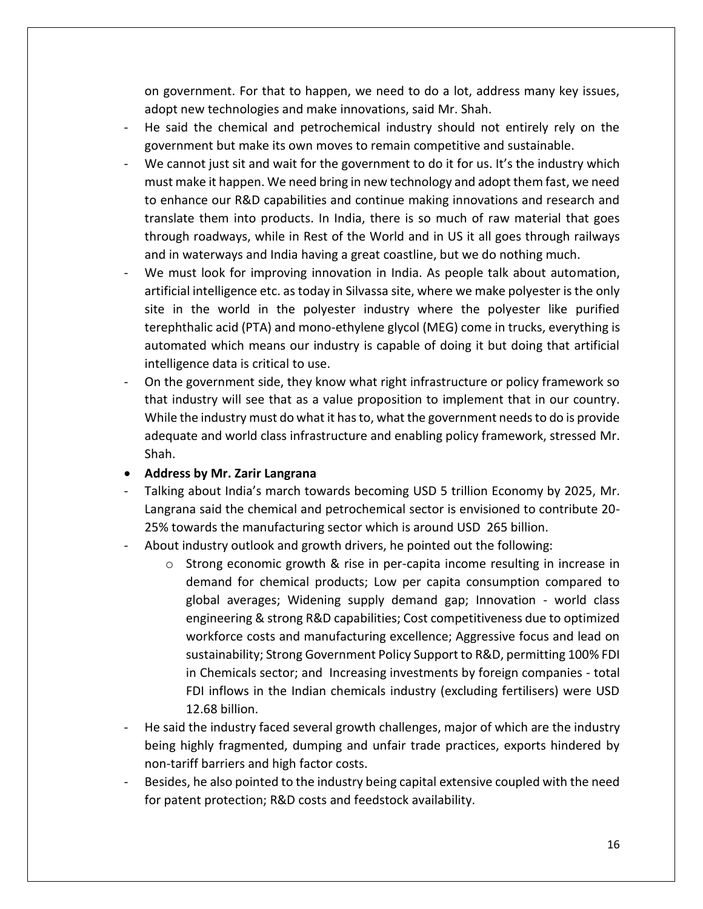on government. For that to happen, we need to do a lot, address many key issues, adopt new technologies and make innovations, said Mr. Shah.

- He said the chemical and petrochemical industry should not entirely rely on the government but make its own moves to remain competitive and sustainable.
- We cannot just sit and wait for the government to do it for us. It's the industry which must make it happen. We need bring in new technology and adopt them fast, we need to enhance our R&D capabilities and continue making innovations and research and translate them into products. In India, there is so much of raw material that goes through roadways, while in Rest of the World and in US it all goes through railways and in waterways and India having a great coastline, but we do nothing much.
- We must look for improving innovation in India. As people talk about automation, artificial intelligence etc. as today in Silvassa site, where we make polyester is the only site in the world in the polyester industry where the polyester like purified terephthalic acid (PTA) and mono-ethylene glycol (MEG) come in trucks, everything is automated which means our industry is capable of doing it but doing that artificial intelligence data is critical to use.
- On the government side, they know what right infrastructure or policy framework so that industry will see that as a value proposition to implement that in our country. While the industry must do what it has to, what the government needs to do is provide adequate and world class infrastructure and enabling policy framework, stressed Mr. Shah.
- **Address by Mr. Zarir Langrana**
- Talking about India's march towards becoming USD 5 trillion Economy by 2025, Mr. Langrana said the chemical and petrochemical sector is envisioned to contribute 20- 25% towards the manufacturing sector which is around USD 265 billion.
- About industry outlook and growth drivers, he pointed out the following:
	- $\circ$  Strong economic growth & rise in per-capita income resulting in increase in demand for chemical products; Low per capita consumption compared to global averages; Widening supply demand gap; Innovation - world class engineering & strong R&D capabilities; Cost competitiveness due to optimized workforce costs and manufacturing excellence; Aggressive focus and lead on sustainability; Strong Government Policy Support to R&D, permitting 100% FDI in Chemicals sector; and Increasing investments by foreign companies - total FDI inflows in the Indian chemicals industry (excluding fertilisers) were USD 12.68 billion.
- He said the industry faced several growth challenges, major of which are the industry being highly fragmented, dumping and unfair trade practices, exports hindered by non-tariff barriers and high factor costs.
- Besides, he also pointed to the industry being capital extensive coupled with the need for patent protection; R&D costs and feedstock availability.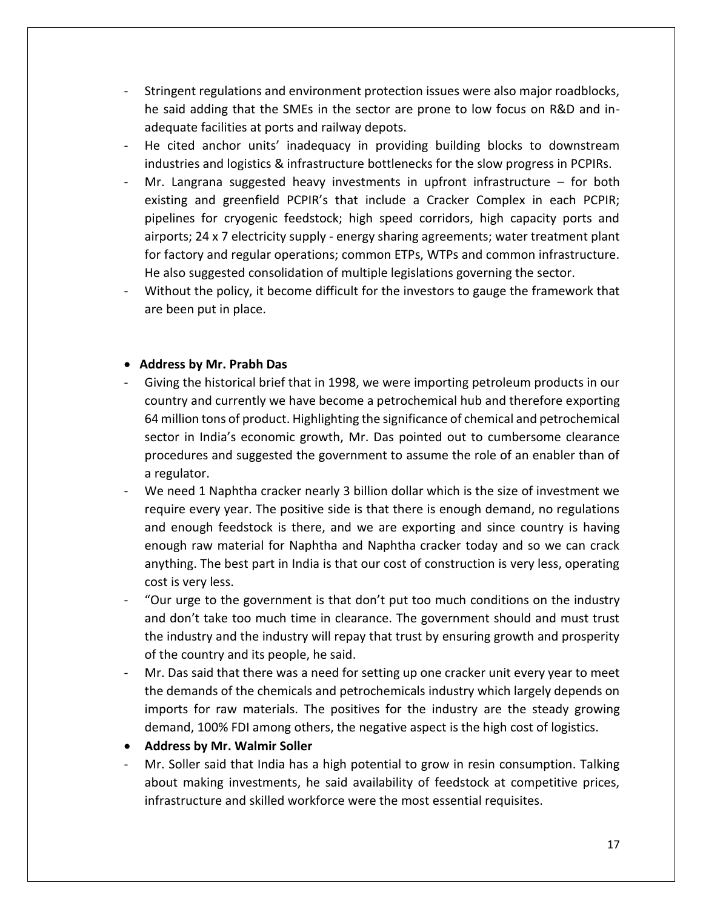- Stringent regulations and environment protection issues were also major roadblocks, he said adding that the SMEs in the sector are prone to low focus on R&D and inadequate facilities at ports and railway depots.
- He cited anchor units' inadequacy in providing building blocks to downstream industries and logistics & infrastructure bottlenecks for the slow progress in PCPIRs.
- Mr. Langrana suggested heavy investments in upfront infrastructure for both existing and greenfield PCPIR's that include a Cracker Complex in each PCPIR; pipelines for cryogenic feedstock; high speed corridors, high capacity ports and airports; 24 x 7 electricity supply - energy sharing agreements; water treatment plant for factory and regular operations; common ETPs, WTPs and common infrastructure. He also suggested consolidation of multiple legislations governing the sector.
- Without the policy, it become difficult for the investors to gauge the framework that are been put in place.

#### • **Address by Mr. Prabh Das**

- Giving the historical brief that in 1998, we were importing petroleum products in our country and currently we have become a petrochemical hub and therefore exporting 64 million tons of product. Highlighting the significance of chemical and petrochemical sector in India's economic growth, Mr. Das pointed out to cumbersome clearance procedures and suggested the government to assume the role of an enabler than of a regulator.
- We need 1 Naphtha cracker nearly 3 billion dollar which is the size of investment we require every year. The positive side is that there is enough demand, no regulations and enough feedstock is there, and we are exporting and since country is having enough raw material for Naphtha and Naphtha cracker today and so we can crack anything. The best part in India is that our cost of construction is very less, operating cost is very less.
- "Our urge to the government is that don't put too much conditions on the industry and don't take too much time in clearance. The government should and must trust the industry and the industry will repay that trust by ensuring growth and prosperity of the country and its people, he said.
- Mr. Das said that there was a need for setting up one cracker unit every year to meet the demands of the chemicals and petrochemicals industry which largely depends on imports for raw materials. The positives for the industry are the steady growing demand, 100% FDI among others, the negative aspect is the high cost of logistics.
- **Address by Mr. Walmir Soller**
- Mr. Soller said that India has a high potential to grow in resin consumption. Talking about making investments, he said availability of feedstock at competitive prices, infrastructure and skilled workforce were the most essential requisites.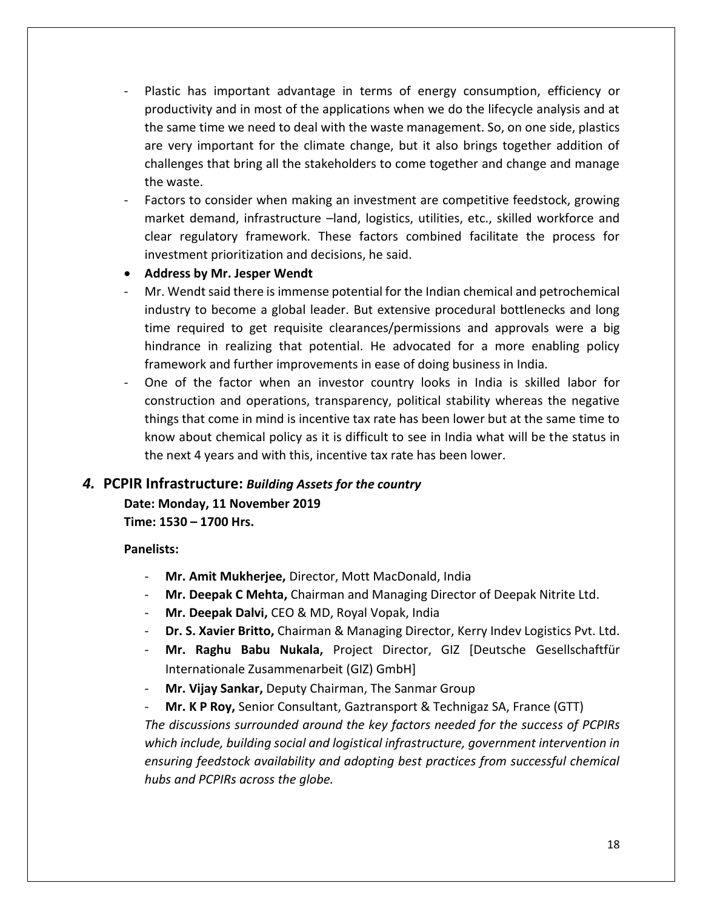- Plastic has important advantage in terms of energy consumption, efficiency or productivity and in most of the applications when we do the lifecycle analysis and at the same time we need to deal with the waste management. So, on one side, plastics are very important for the climate change, but it also brings together addition of challenges that bring all the stakeholders to come together and change and manage the waste.
- Factors to consider when making an investment are competitive feedstock, growing market demand, infrastructure –land, logistics, utilities, etc., skilled workforce and clear regulatory framework. These factors combined facilitate the process for investment prioritization and decisions, he said.
- **Address by Mr. Jesper Wendt**
- Mr. Wendt said there is immense potential for the Indian chemical and petrochemical industry to become a global leader. But extensive procedural bottlenecks and long time required to get requisite clearances/permissions and approvals were a big hindrance in realizing that potential. He advocated for a more enabling policy framework and further improvements in ease of doing business in India.
- One of the factor when an investor country looks in India is skilled labor for construction and operations, transparency, political stability whereas the negative things that come in mind is incentive tax rate has been lower but at the same time to know about chemical policy as it is difficult to see in India what will be the status in the next 4 years and with this, incentive tax rate has been lower.

## <span id="page-18-0"></span>*4.* **PCPIR Infrastructure:** *Building Assets for the country*

**Date: Monday, 11 November 2019 Time: 1530 – 1700 Hrs.**

#### **Panelists:**

- **Mr. Amit Mukherjee,** Director, Mott MacDonald, India
- **Mr. Deepak C Mehta,** Chairman and Managing Director of Deepak Nitrite Ltd.
- **Mr. Deepak Dalvi,** CEO & MD, Royal Vopak, India
- **Dr. S. Xavier Britto,** Chairman & Managing Director, Kerry Indev Logistics Pvt. Ltd.
- **Mr. Raghu Babu Nukala,** Project Director, GIZ [Deutsche Gesellschaftfür Internationale Zusammenarbeit (GIZ) GmbH]
- **Mr. Vijay Sankar,** Deputy Chairman, The Sanmar Group
- **Mr. K P Roy,** Senior Consultant, Gaztransport & Technigaz SA, France (GTT) *The discussions surrounded around the key factors needed for the success of PCPIRs which include, building social and logistical infrastructure, government intervention in ensuring feedstock availability and adopting best practices from successful chemical hubs and PCPIRs across the globe.*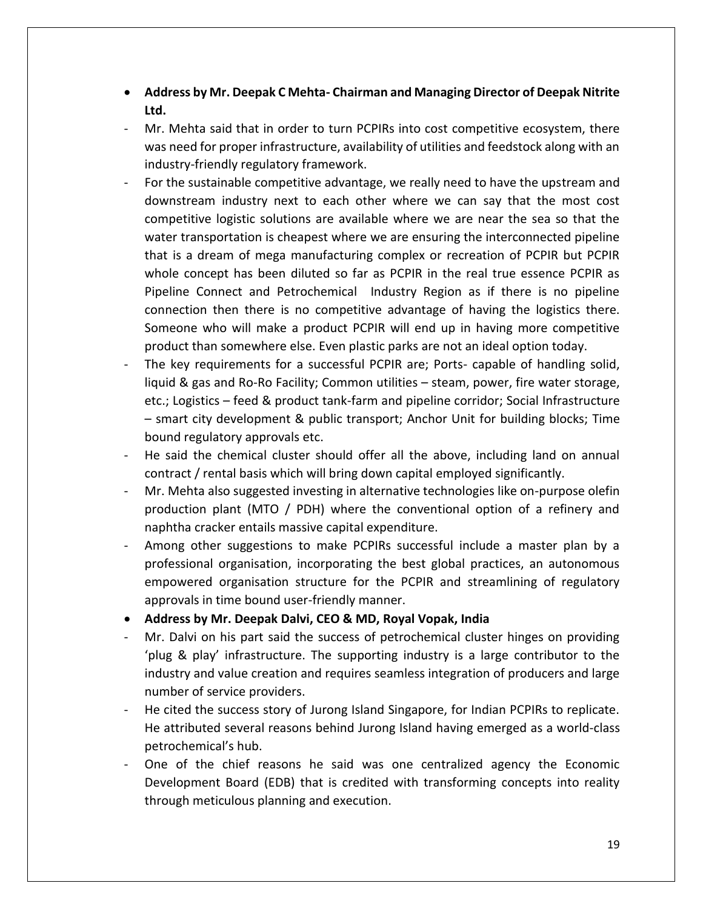- **Address by Mr. Deepak C Mehta- Chairman and Managing Director of Deepak Nitrite Ltd.**
- Mr. Mehta said that in order to turn PCPIRs into cost competitive ecosystem, there was need for proper infrastructure, availability of utilities and feedstock along with an industry-friendly regulatory framework.
- For the sustainable competitive advantage, we really need to have the upstream and downstream industry next to each other where we can say that the most cost competitive logistic solutions are available where we are near the sea so that the water transportation is cheapest where we are ensuring the interconnected pipeline that is a dream of mega manufacturing complex or recreation of PCPIR but PCPIR whole concept has been diluted so far as PCPIR in the real true essence PCPIR as Pipeline Connect and Petrochemical Industry Region as if there is no pipeline connection then there is no competitive advantage of having the logistics there. Someone who will make a product PCPIR will end up in having more competitive product than somewhere else. Even plastic parks are not an ideal option today.
- The key requirements for a successful PCPIR are; Ports- capable of handling solid, liquid & gas and Ro-Ro Facility; Common utilities – steam, power, fire water storage, etc.; Logistics – feed & product tank-farm and pipeline corridor; Social Infrastructure – smart city development & public transport; Anchor Unit for building blocks; Time bound regulatory approvals etc.
- He said the chemical cluster should offer all the above, including land on annual contract / rental basis which will bring down capital employed significantly.
- Mr. Mehta also suggested investing in alternative technologies like on-purpose olefin production plant (MTO / PDH) where the conventional option of a refinery and naphtha cracker entails massive capital expenditure.
- Among other suggestions to make PCPIRs successful include a master plan by a professional organisation, incorporating the best global practices, an autonomous empowered organisation structure for the PCPIR and streamlining of regulatory approvals in time bound user-friendly manner.
- **Address by Mr. Deepak Dalvi, CEO & MD, Royal Vopak, India**
- Mr. Dalvi on his part said the success of petrochemical cluster hinges on providing 'plug & play' infrastructure. The supporting industry is a large contributor to the industry and value creation and requires seamless integration of producers and large number of service providers.
- He cited the success story of Jurong Island Singapore, for Indian PCPIRs to replicate. He attributed several reasons behind Jurong Island having emerged as a world-class petrochemical's hub.
- One of the chief reasons he said was one centralized agency the Economic Development Board (EDB) that is credited with transforming concepts into reality through meticulous planning and execution.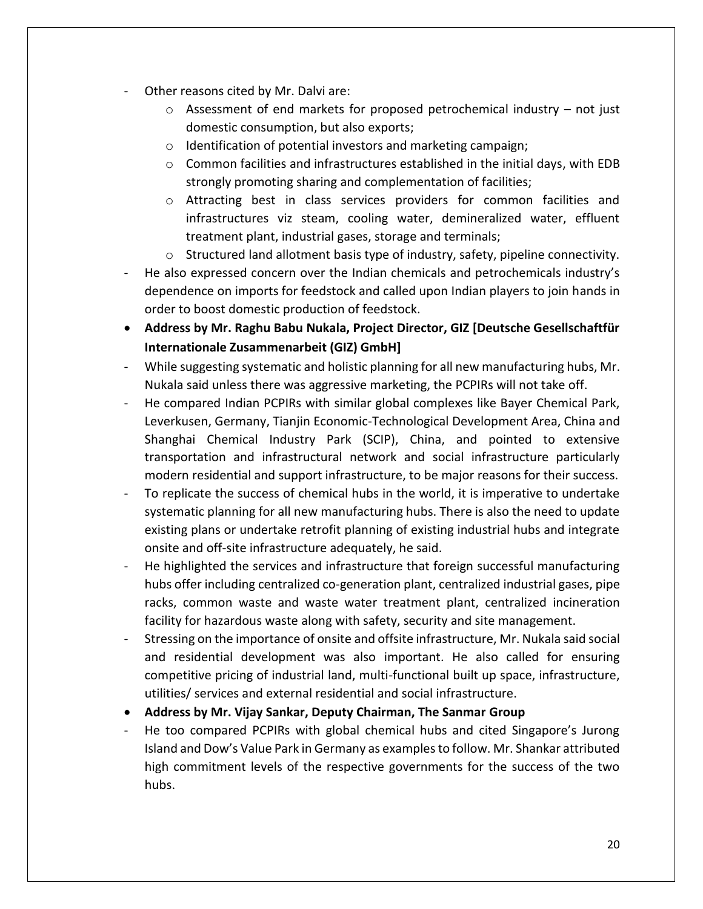- Other reasons cited by Mr. Dalvi are:
	- $\circ$  Assessment of end markets for proposed petrochemical industry not just domestic consumption, but also exports;
	- o Identification of potential investors and marketing campaign;
	- o Common facilities and infrastructures established in the initial days, with EDB strongly promoting sharing and complementation of facilities;
	- o Attracting best in class services providers for common facilities and infrastructures viz steam, cooling water, demineralized water, effluent treatment plant, industrial gases, storage and terminals;
	- $\circ$  Structured land allotment basis type of industry, safety, pipeline connectivity.
- He also expressed concern over the Indian chemicals and petrochemicals industry's dependence on imports for feedstock and called upon Indian players to join hands in order to boost domestic production of feedstock.
- **Address by Mr. Raghu Babu Nukala, Project Director, GIZ [Deutsche Gesellschaftfür Internationale Zusammenarbeit (GIZ) GmbH]**
- While suggesting systematic and holistic planning for all new manufacturing hubs, Mr. Nukala said unless there was aggressive marketing, the PCPIRs will not take off.
- He compared Indian PCPIRs with similar global complexes like Bayer Chemical Park, Leverkusen, Germany, Tianjin Economic-Technological Development Area, China and Shanghai Chemical Industry Park (SCIP), China, and pointed to extensive transportation and infrastructural network and social infrastructure particularly modern residential and support infrastructure, to be major reasons for their success.
- To replicate the success of chemical hubs in the world, it is imperative to undertake systematic planning for all new manufacturing hubs. There is also the need to update existing plans or undertake retrofit planning of existing industrial hubs and integrate onsite and off-site infrastructure adequately, he said.
- He highlighted the services and infrastructure that foreign successful manufacturing hubs offer including centralized co-generation plant, centralized industrial gases, pipe racks, common waste and waste water treatment plant, centralized incineration facility for hazardous waste along with safety, security and site management.
- Stressing on the importance of onsite and offsite infrastructure, Mr. Nukala said social and residential development was also important. He also called for ensuring competitive pricing of industrial land, multi-functional built up space, infrastructure, utilities/ services and external residential and social infrastructure.
- **Address by Mr. Vijay Sankar, Deputy Chairman, The Sanmar Group**
- He too compared PCPIRs with global chemical hubs and cited Singapore's Jurong Island and Dow's Value Park in Germany as examples to follow. Mr. Shankar attributed high commitment levels of the respective governments for the success of the two hubs.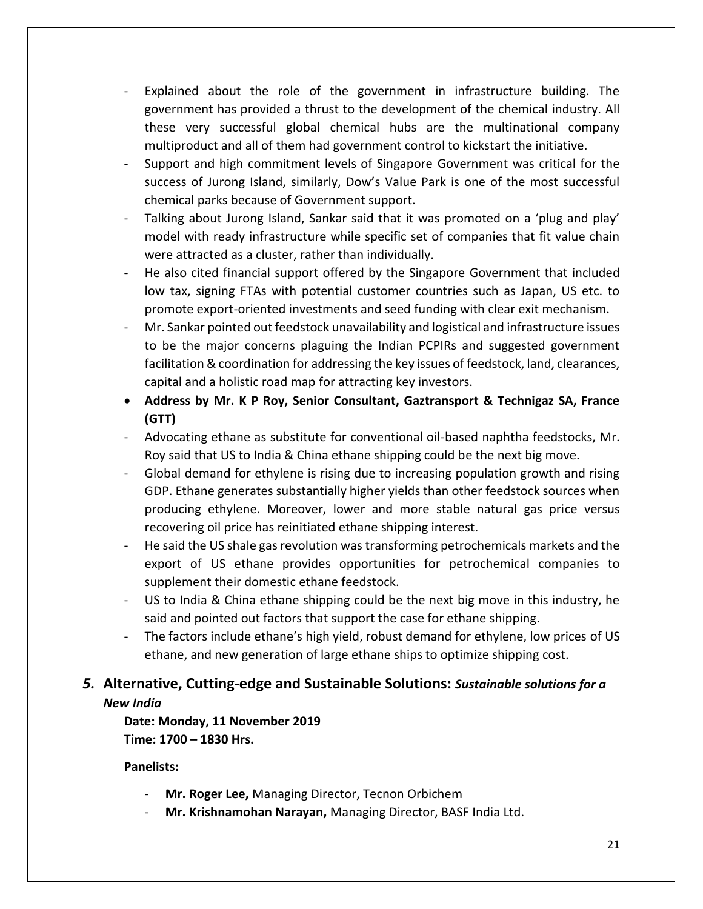- Explained about the role of the government in infrastructure building. The government has provided a thrust to the development of the chemical industry. All these very successful global chemical hubs are the multinational company multiproduct and all of them had government control to kickstart the initiative.
- Support and high commitment levels of Singapore Government was critical for the success of Jurong Island, similarly, Dow's Value Park is one of the most successful chemical parks because of Government support.
- Talking about Jurong Island, Sankar said that it was promoted on a 'plug and play' model with ready infrastructure while specific set of companies that fit value chain were attracted as a cluster, rather than individually.
- He also cited financial support offered by the Singapore Government that included low tax, signing FTAs with potential customer countries such as Japan, US etc. to promote export-oriented investments and seed funding with clear exit mechanism.
- Mr. Sankar pointed out feedstock unavailability and logistical and infrastructure issues to be the major concerns plaguing the Indian PCPIRs and suggested government facilitation & coordination for addressing the key issues of feedstock, land, clearances, capital and a holistic road map for attracting key investors.
- **Address by Mr. K P Roy, Senior Consultant, Gaztransport & Technigaz SA, France (GTT)**
- Advocating ethane as substitute for conventional oil-based naphtha feedstocks, Mr. Roy said that US to India & China ethane shipping could be the next big move.
- Global demand for ethylene is rising due to increasing population growth and rising GDP. Ethane generates substantially higher yields than other feedstock sources when producing ethylene. Moreover, lower and more stable natural gas price versus recovering oil price has reinitiated ethane shipping interest.
- He said the US shale gas revolution was transforming petrochemicals markets and the export of US ethane provides opportunities for petrochemical companies to supplement their domestic ethane feedstock.
- US to India & China ethane shipping could be the next big move in this industry, he said and pointed out factors that support the case for ethane shipping.
- The factors include ethane's high yield, robust demand for ethylene, low prices of US ethane, and new generation of large ethane ships to optimize shipping cost.

# <span id="page-21-0"></span>*5.* **Alternative, Cutting-edge and Sustainable Solutions:** *Sustainable solutions for a New India*

**Date: Monday, 11 November 2019 Time: 1700 – 1830 Hrs.**

**Panelists:**

- **Mr. Roger Lee,** Managing Director, Tecnon Orbichem
- **Mr. Krishnamohan Narayan,** Managing Director, BASF India Ltd.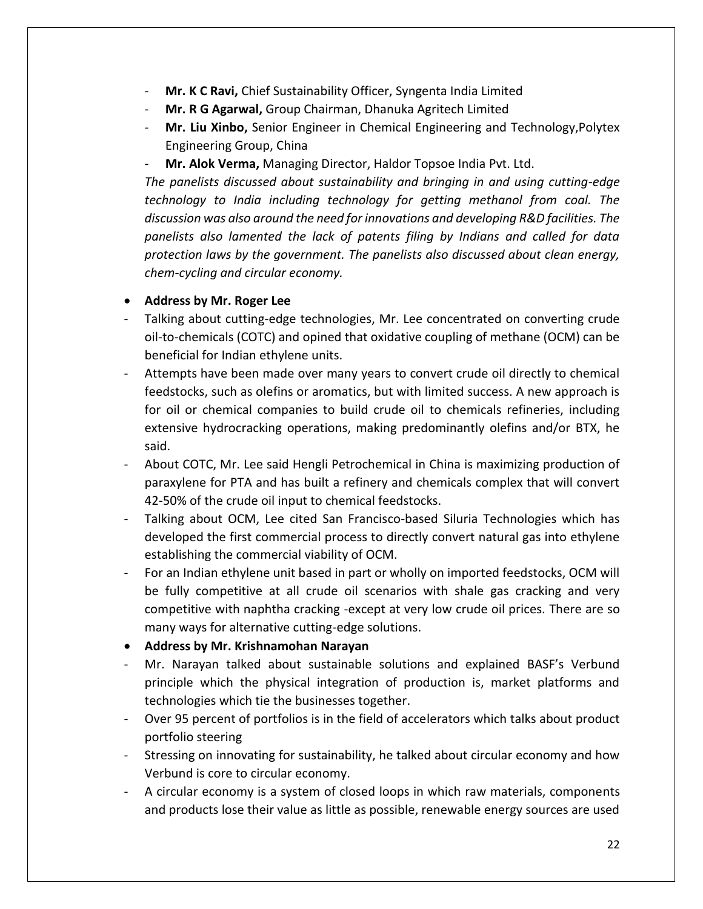- **Mr. K C Ravi,** Chief Sustainability Officer, Syngenta India Limited
- **Mr. R G Agarwal,** Group Chairman, Dhanuka Agritech Limited
- **Mr. Liu Xinbo,** Senior Engineer in Chemical Engineering and Technology,Polytex Engineering Group, China
- **Mr. Alok Verma,** Managing Director, Haldor Topsoe India Pvt. Ltd.

*The panelists discussed about sustainability and bringing in and using cutting-edge technology to India including technology for getting methanol from coal. The discussion was also around the need for innovations and developing R&D facilities. The panelists also lamented the lack of patents filing by Indians and called for data protection laws by the government. The panelists also discussed about clean energy, chem-cycling and circular economy.* 

#### • **Address by Mr. Roger Lee**

- Talking about cutting-edge technologies, Mr. Lee concentrated on converting crude oil-to-chemicals (COTC) and opined that oxidative coupling of methane (OCM) can be beneficial for Indian ethylene units.
- Attempts have been made over many years to convert crude oil directly to chemical feedstocks, such as olefins or aromatics, but with limited success. A new approach is for oil or chemical companies to build crude oil to chemicals refineries, including extensive hydrocracking operations, making predominantly olefins and/or BTX, he said.
- About COTC, Mr. Lee said Hengli Petrochemical in China is maximizing production of paraxylene for PTA and has built a refinery and chemicals complex that will convert 42-50% of the crude oil input to chemical feedstocks.
- Talking about OCM, Lee cited San Francisco-based Siluria Technologies which has developed the first commercial process to directly convert natural gas into ethylene establishing the commercial viability of OCM.
- For an Indian ethylene unit based in part or wholly on imported feedstocks, OCM will be fully competitive at all crude oil scenarios with shale gas cracking and very competitive with naphtha cracking -except at very low crude oil prices. There are so many ways for alternative cutting-edge solutions.
- **Address by Mr. Krishnamohan Narayan**
- Mr. Narayan talked about sustainable solutions and explained BASF's Verbund principle which the physical integration of production is, market platforms and technologies which tie the businesses together.
- Over 95 percent of portfolios is in the field of accelerators which talks about product portfolio steering
- Stressing on innovating for sustainability, he talked about circular economy and how Verbund is core to circular economy.
- A circular economy is a system of closed loops in which raw materials, components and products lose their value as little as possible, renewable energy sources are used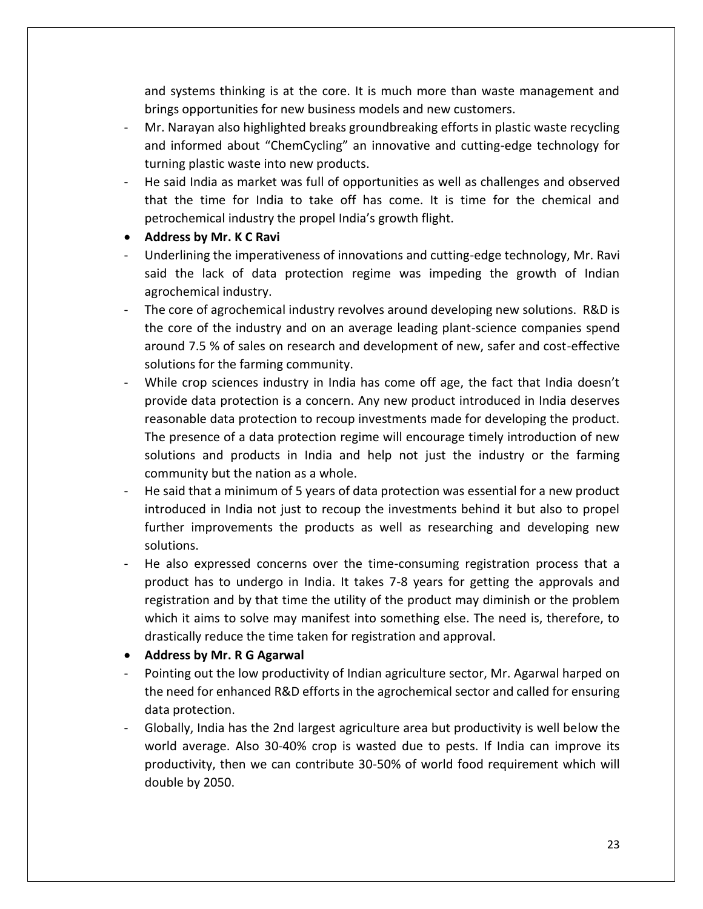and systems thinking is at the core. It is much more than waste management and brings opportunities for new business models and new customers.

- Mr. Narayan also highlighted breaks groundbreaking efforts in plastic waste recycling and informed about "ChemCycling" an innovative and cutting-edge technology for turning plastic waste into new products.
- He said India as market was full of opportunities as well as challenges and observed that the time for India to take off has come. It is time for the chemical and petrochemical industry the propel India's growth flight.
- **Address by Mr. K C Ravi**
- Underlining the imperativeness of innovations and cutting-edge technology, Mr. Ravi said the lack of data protection regime was impeding the growth of Indian agrochemical industry.
- The core of agrochemical industry revolves around developing new solutions. R&D is the core of the industry and on an average leading plant-science companies spend around 7.5 % of sales on research and development of new, safer and cost-effective solutions for the farming community.
- While crop sciences industry in India has come off age, the fact that India doesn't provide data protection is a concern. Any new product introduced in India deserves reasonable data protection to recoup investments made for developing the product. The presence of a data protection regime will encourage timely introduction of new solutions and products in India and help not just the industry or the farming community but the nation as a whole.
- He said that a minimum of 5 years of data protection was essential for a new product introduced in India not just to recoup the investments behind it but also to propel further improvements the products as well as researching and developing new solutions.
- He also expressed concerns over the time-consuming registration process that a product has to undergo in India. It takes 7-8 years for getting the approvals and registration and by that time the utility of the product may diminish or the problem which it aims to solve may manifest into something else. The need is, therefore, to drastically reduce the time taken for registration and approval.
- **Address by Mr. R G Agarwal**
- Pointing out the low productivity of Indian agriculture sector, Mr. Agarwal harped on the need for enhanced R&D efforts in the agrochemical sector and called for ensuring data protection.
- Globally, India has the 2nd largest agriculture area but productivity is well below the world average. Also 30-40% crop is wasted due to pests. If India can improve its productivity, then we can contribute 30-50% of world food requirement which will double by 2050.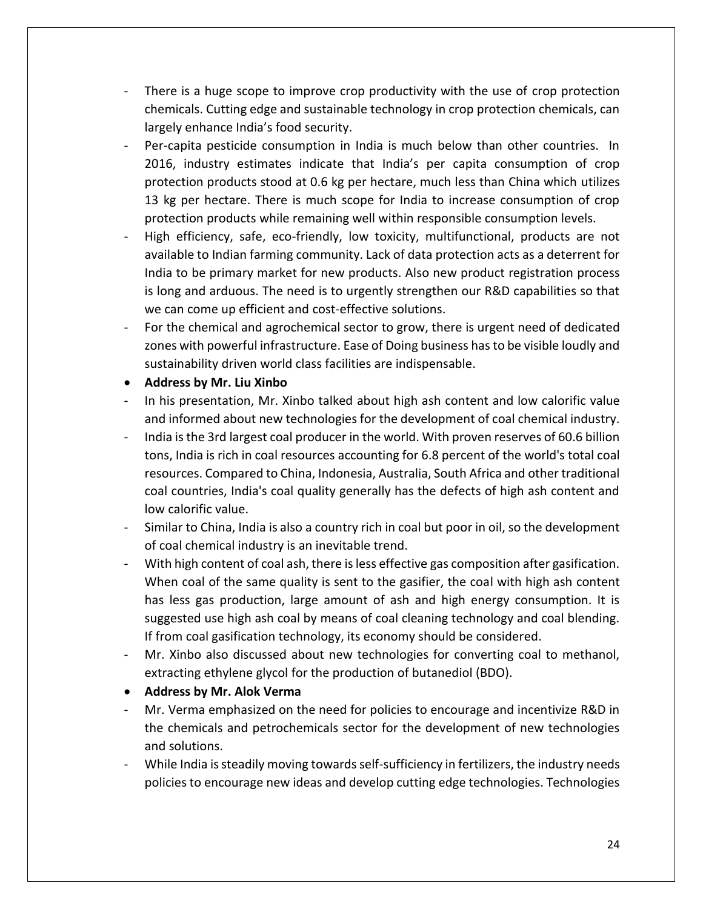- There is a huge scope to improve crop productivity with the use of crop protection chemicals. Cutting edge and sustainable technology in crop protection chemicals, can largely enhance India's food security.
- Per-capita pesticide consumption in India is much below than other countries. In 2016, industry estimates indicate that India's per capita consumption of crop protection products stood at 0.6 kg per hectare, much less than China which utilizes 13 kg per hectare. There is much scope for India to increase consumption of crop protection products while remaining well within responsible consumption levels.
- High efficiency, safe, eco-friendly, low toxicity, multifunctional, products are not available to Indian farming community. Lack of data protection acts as a deterrent for India to be primary market for new products. Also new product registration process is long and arduous. The need is to urgently strengthen our R&D capabilities so that we can come up efficient and cost-effective solutions.
- For the chemical and agrochemical sector to grow, there is urgent need of dedicated zones with powerful infrastructure. Ease of Doing business has to be visible loudly and sustainability driven world class facilities are indispensable.
- **Address by Mr. Liu Xinbo**
- In his presentation, Mr. Xinbo talked about high ash content and low calorific value and informed about new technologies for the development of coal chemical industry.
- India is the 3rd largest coal producer in the world. With proven reserves of 60.6 billion tons, India is rich in coal resources accounting for 6.8 percent of the world's total coal resources. Compared to China, Indonesia, Australia, South Africa and other traditional coal countries, India's coal quality generally has the defects of high ash content and low calorific value.
- Similar to China, India is also a country rich in coal but poor in oil, so the development of coal chemical industry is an inevitable trend.
- With high content of coal ash, there is less effective gas composition after gasification. When coal of the same quality is sent to the gasifier, the coal with high ash content has less gas production, large amount of ash and high energy consumption. It is suggested use high ash coal by means of coal cleaning technology and coal blending. If from coal gasification technology, its economy should be considered.
- Mr. Xinbo also discussed about new technologies for converting coal to methanol, extracting ethylene glycol for the production of butanediol (BDO).
- **Address by Mr. Alok Verma**
- Mr. Verma emphasized on the need for policies to encourage and incentivize R&D in the chemicals and petrochemicals sector for the development of new technologies and solutions.
- While India is steadily moving towards self-sufficiency in fertilizers, the industry needs policies to encourage new ideas and develop cutting edge technologies. Technologies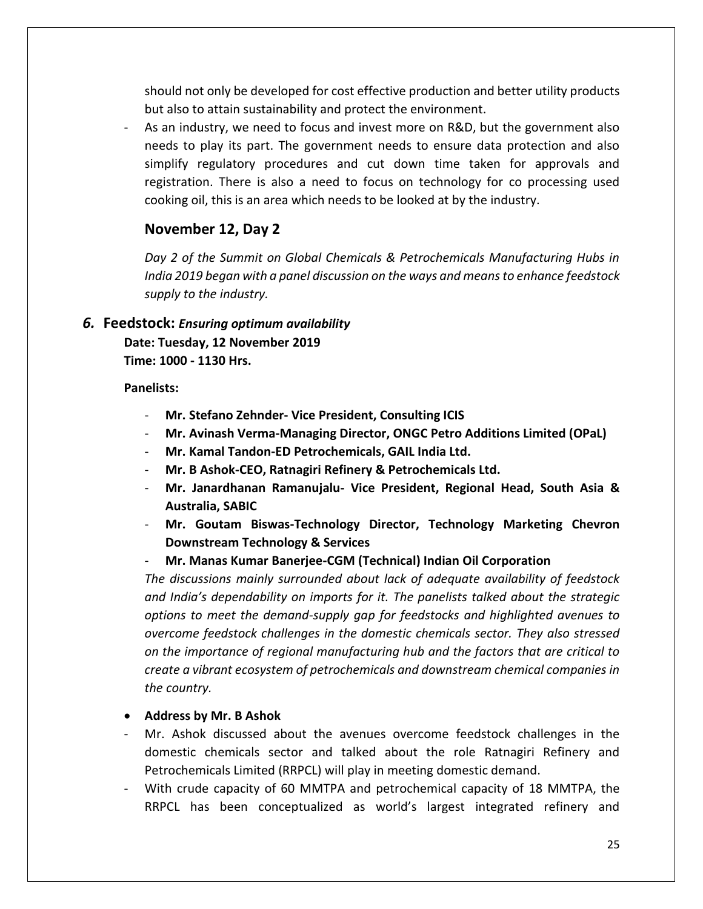should not only be developed for cost effective production and better utility products but also to attain sustainability and protect the environment.

As an industry, we need to focus and invest more on R&D, but the government also needs to play its part. The government needs to ensure data protection and also simplify regulatory procedures and cut down time taken for approvals and registration. There is also a need to focus on technology for co processing used cooking oil, this is an area which needs to be looked at by the industry.

### **November 12, Day 2**

*Day 2 of the Summit on Global Chemicals & Petrochemicals Manufacturing Hubs in India 2019 began with a panel discussion on the ways and means to enhance feedstock supply to the industry.*

#### <span id="page-25-0"></span>*6.* **Feedstock:** *Ensuring optimum availability*

**Date: Tuesday, 12 November 2019 Time: 1000 - 1130 Hrs.**

#### **Panelists:**

- **Mr. Stefano Zehnder- Vice President, Consulting ICIS**
- **Mr. Avinash Verma-Managing Director, ONGC Petro Additions Limited (OPaL)**
- **Mr. Kamal Tandon-ED Petrochemicals, GAIL India Ltd.**
- **Mr. B Ashok-CEO, Ratnagiri Refinery & Petrochemicals Ltd.**
- **Mr. Janardhanan Ramanujalu- Vice President, Regional Head, South Asia & Australia, SABIC**
- **Mr. Goutam Biswas-Technology Director, Technology Marketing Chevron Downstream Technology & Services**
- **Mr. Manas Kumar Banerjee-CGM (Technical) Indian Oil Corporation**

*The discussions mainly surrounded about lack of adequate availability of feedstock and India's dependability on imports for it. The panelists talked about the strategic options to meet the demand-supply gap for feedstocks and highlighted avenues to overcome feedstock challenges in the domestic chemicals sector. They also stressed on the importance of regional manufacturing hub and the factors that are critical to create a vibrant ecosystem of petrochemicals and downstream chemical companies in the country.* 

#### • **Address by Mr. B Ashok**

- Mr. Ashok discussed about the avenues overcome feedstock challenges in the domestic chemicals sector and talked about the role Ratnagiri Refinery and Petrochemicals Limited (RRPCL) will play in meeting domestic demand.
- With crude capacity of 60 MMTPA and petrochemical capacity of 18 MMTPA, the RRPCL has been conceptualized as world's largest integrated refinery and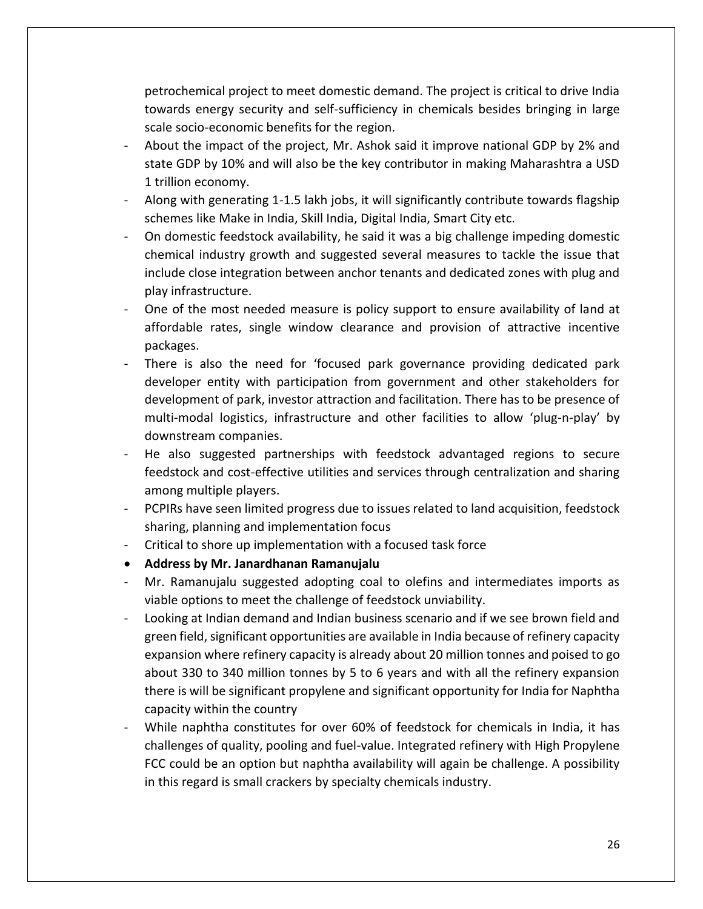petrochemical project to meet domestic demand. The project is critical to drive India towards energy security and self-sufficiency in chemicals besides bringing in large scale socio-economic benefits for the region.

- About the impact of the project, Mr. Ashok said it improve national GDP by 2% and state GDP by 10% and will also be the key contributor in making Maharashtra a USD 1 trillion economy.
- Along with generating 1-1.5 lakh jobs, it will significantly contribute towards flagship schemes like Make in India, Skill India, Digital India, Smart City etc.
- On domestic feedstock availability, he said it was a big challenge impeding domestic chemical industry growth and suggested several measures to tackle the issue that include close integration between anchor tenants and dedicated zones with plug and play infrastructure.
- One of the most needed measure is policy support to ensure availability of land at affordable rates, single window clearance and provision of attractive incentive packages.
- There is also the need for 'focused park governance providing dedicated park developer entity with participation from government and other stakeholders for development of park, investor attraction and facilitation. There has to be presence of multi-modal logistics, infrastructure and other facilities to allow 'plug-n-play' by downstream companies.
- He also suggested partnerships with feedstock advantaged regions to secure feedstock and cost-effective utilities and services through centralization and sharing among multiple players.
- PCPIRs have seen limited progress due to issues related to land acquisition, feedstock sharing, planning and implementation focus
- Critical to shore up implementation with a focused task force
- **Address by Mr. Janardhanan Ramanujalu**
- Mr. Ramanujalu suggested adopting coal to olefins and intermediates imports as viable options to meet the challenge of feedstock unviability.
- Looking at Indian demand and Indian business scenario and if we see brown field and green field, significant opportunities are available in India because of refinery capacity expansion where refinery capacity is already about 20 million tonnes and poised to go about 330 to 340 million tonnes by 5 to 6 years and with all the refinery expansion there is will be significant propylene and significant opportunity for India for Naphtha capacity within the country
- While naphtha constitutes for over 60% of feedstock for chemicals in India, it has challenges of quality, pooling and fuel-value. Integrated refinery with High Propylene FCC could be an option but naphtha availability will again be challenge. A possibility in this regard is small crackers by specialty chemicals industry.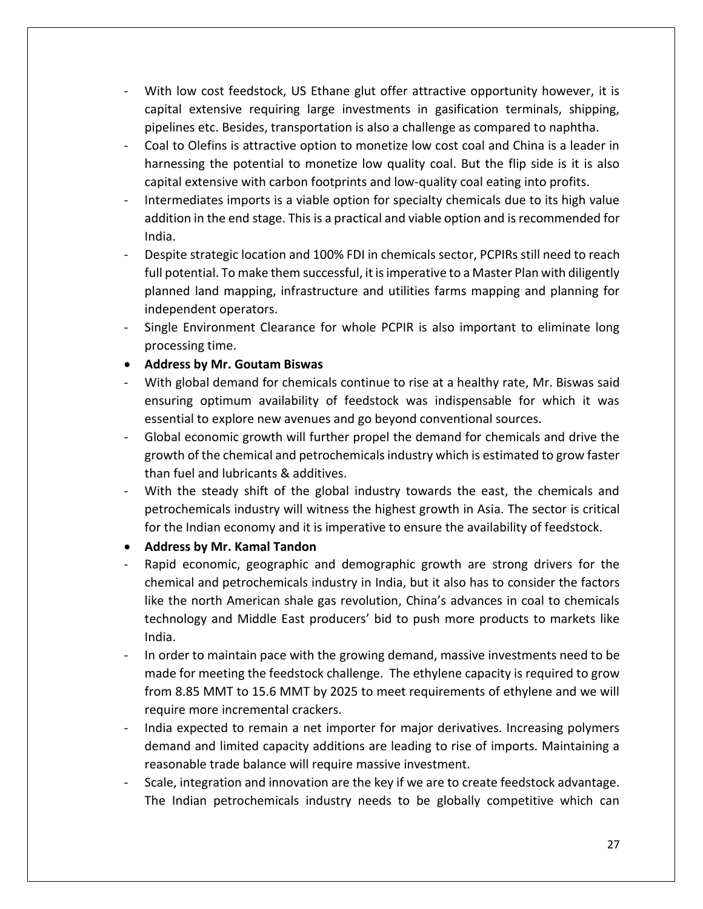- With low cost feedstock, US Ethane glut offer attractive opportunity however, it is capital extensive requiring large investments in gasification terminals, shipping, pipelines etc. Besides, transportation is also a challenge as compared to naphtha.
- Coal to Olefins is attractive option to monetize low cost coal and China is a leader in harnessing the potential to monetize low quality coal. But the flip side is it is also capital extensive with carbon footprints and low-quality coal eating into profits.
- Intermediates imports is a viable option for specialty chemicals due to its high value addition in the end stage. This is a practical and viable option and is recommended for India.
- Despite strategic location and 100% FDI in chemicals sector, PCPIRs still need to reach full potential. To make them successful, it is imperative to a Master Plan with diligently planned land mapping, infrastructure and utilities farms mapping and planning for independent operators.
- Single Environment Clearance for whole PCPIR is also important to eliminate long processing time.
- **Address by Mr. Goutam Biswas**
- With global demand for chemicals continue to rise at a healthy rate, Mr. Biswas said ensuring optimum availability of feedstock was indispensable for which it was essential to explore new avenues and go beyond conventional sources.
- Global economic growth will further propel the demand for chemicals and drive the growth of the chemical and petrochemicals industry which is estimated to grow faster than fuel and lubricants & additives.
- With the steady shift of the global industry towards the east, the chemicals and petrochemicals industry will witness the highest growth in Asia. The sector is critical for the Indian economy and it is imperative to ensure the availability of feedstock.
- **Address by Mr. Kamal Tandon**
- Rapid economic, geographic and demographic growth are strong drivers for the chemical and petrochemicals industry in India, but it also has to consider the factors like the north American shale gas revolution, China's advances in coal to chemicals technology and Middle East producers' bid to push more products to markets like India.
- In order to maintain pace with the growing demand, massive investments need to be made for meeting the feedstock challenge. The ethylene capacity is required to grow from 8.85 MMT to 15.6 MMT by 2025 to meet requirements of ethylene and we will require more incremental crackers.
- India expected to remain a net importer for major derivatives. Increasing polymers demand and limited capacity additions are leading to rise of imports. Maintaining a reasonable trade balance will require massive investment.
- Scale, integration and innovation are the key if we are to create feedstock advantage. The Indian petrochemicals industry needs to be globally competitive which can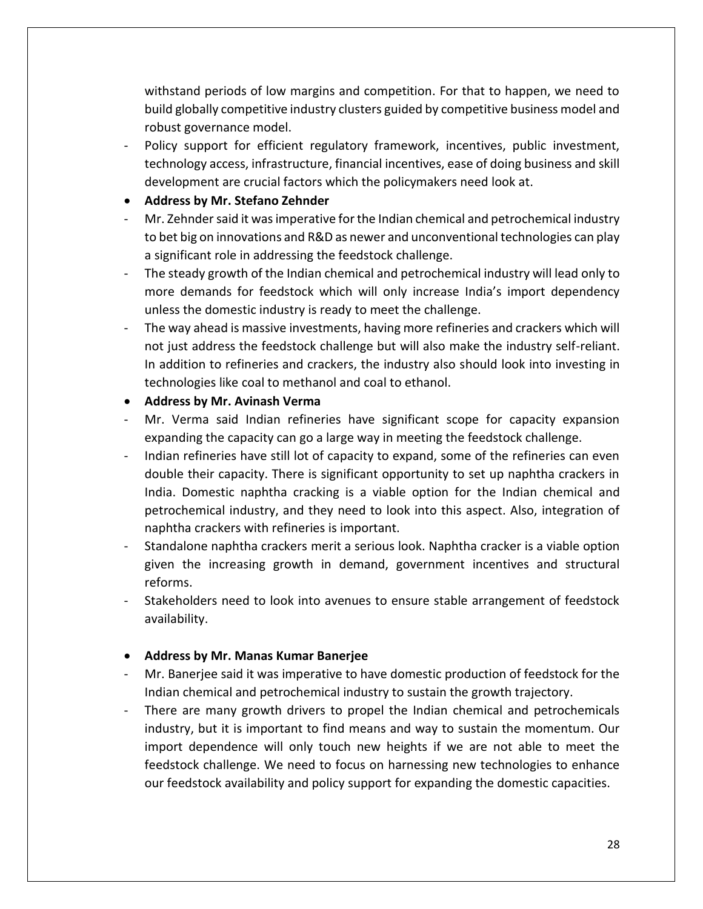withstand periods of low margins and competition. For that to happen, we need to build globally competitive industry clusters guided by competitive business model and robust governance model.

- Policy support for efficient regulatory framework, incentives, public investment, technology access, infrastructure, financial incentives, ease of doing business and skill development are crucial factors which the policymakers need look at.
- **Address by Mr. Stefano Zehnder**
- Mr. Zehnder said it was imperative for the Indian chemical and petrochemical industry to bet big on innovations and R&D as newer and unconventional technologies can play a significant role in addressing the feedstock challenge.
- The steady growth of the Indian chemical and petrochemical industry will lead only to more demands for feedstock which will only increase India's import dependency unless the domestic industry is ready to meet the challenge.
- The way ahead is massive investments, having more refineries and crackers which will not just address the feedstock challenge but will also make the industry self-reliant. In addition to refineries and crackers, the industry also should look into investing in technologies like coal to methanol and coal to ethanol.
- **Address by Mr. Avinash Verma**
- Mr. Verma said Indian refineries have significant scope for capacity expansion expanding the capacity can go a large way in meeting the feedstock challenge.
- Indian refineries have still lot of capacity to expand, some of the refineries can even double their capacity. There is significant opportunity to set up naphtha crackers in India. Domestic naphtha cracking is a viable option for the Indian chemical and petrochemical industry, and they need to look into this aspect. Also, integration of naphtha crackers with refineries is important.
- Standalone naphtha crackers merit a serious look. Naphtha cracker is a viable option given the increasing growth in demand, government incentives and structural reforms.
- Stakeholders need to look into avenues to ensure stable arrangement of feedstock availability.

#### • **Address by Mr. Manas Kumar Banerjee**

- Mr. Banerjee said it was imperative to have domestic production of feedstock for the Indian chemical and petrochemical industry to sustain the growth trajectory.
- There are many growth drivers to propel the Indian chemical and petrochemicals industry, but it is important to find means and way to sustain the momentum. Our import dependence will only touch new heights if we are not able to meet the feedstock challenge. We need to focus on harnessing new technologies to enhance our feedstock availability and policy support for expanding the domestic capacities.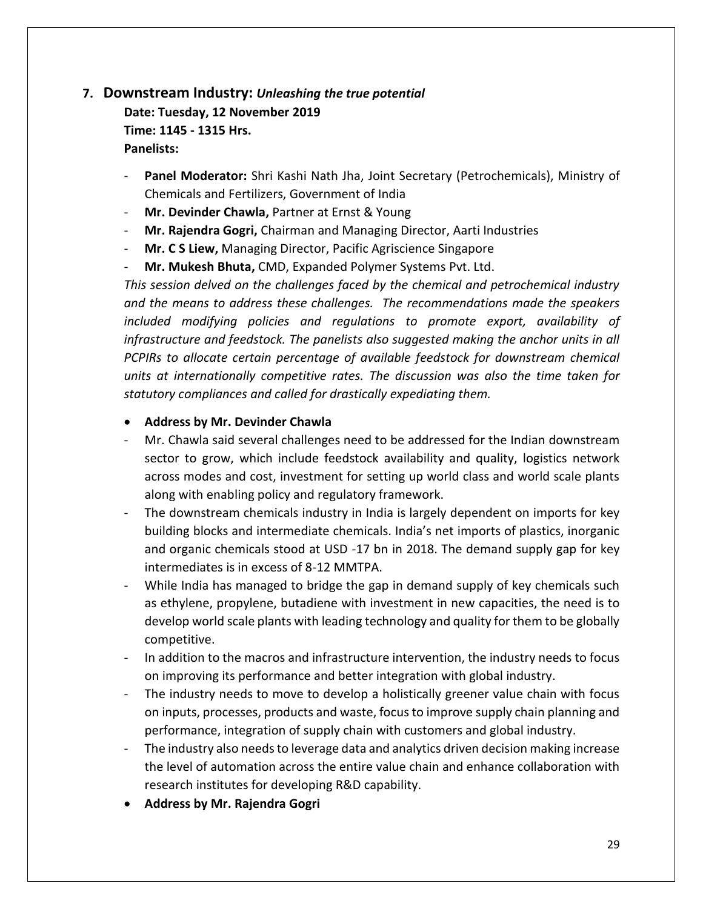# <span id="page-29-0"></span>**7. Downstream Industry:** *Unleashing the true potential*

**Date: Tuesday, 12 November 2019 Time: 1145 - 1315 Hrs. Panelists:** 

- **Panel Moderator:** Shri Kashi Nath Jha, Joint Secretary (Petrochemicals), Ministry of Chemicals and Fertilizers, Government of India
- **Mr. Devinder Chawla,** Partner at Ernst & Young
- **Mr. Rajendra Gogri,** Chairman and Managing Director, Aarti Industries
- **Mr. C S Liew,** Managing Director, Pacific Agriscience Singapore
- **Mr. Mukesh Bhuta,** CMD, Expanded Polymer Systems Pvt. Ltd.

*This session delved on the challenges faced by the chemical and petrochemical industry and the means to address these challenges. The recommendations made the speakers included modifying policies and regulations to promote export, availability of infrastructure and feedstock. The panelists also suggested making the anchor units in all PCPIRs to allocate certain percentage of available feedstock for downstream chemical units at internationally competitive rates. The discussion was also the time taken for statutory compliances and called for drastically expediating them.* 

#### • **Address by Mr. Devinder Chawla**

- Mr. Chawla said several challenges need to be addressed for the Indian downstream sector to grow, which include feedstock availability and quality, logistics network across modes and cost, investment for setting up world class and world scale plants along with enabling policy and regulatory framework.
- The downstream chemicals industry in India is largely dependent on imports for key building blocks and intermediate chemicals. India's net imports of plastics, inorganic and organic chemicals stood at USD -17 bn in 2018. The demand supply gap for key intermediates is in excess of 8-12 MMTPA.
- While India has managed to bridge the gap in demand supply of key chemicals such as ethylene, propylene, butadiene with investment in new capacities, the need is to develop world scale plants with leading technology and quality for them to be globally competitive.
- In addition to the macros and infrastructure intervention, the industry needs to focus on improving its performance and better integration with global industry.
- The industry needs to move to develop a holistically greener value chain with focus on inputs, processes, products and waste, focus to improve supply chain planning and performance, integration of supply chain with customers and global industry.
- The industry also needs to leverage data and analytics driven decision making increase the level of automation across the entire value chain and enhance collaboration with research institutes for developing R&D capability.
- **Address by Mr. Rajendra Gogri**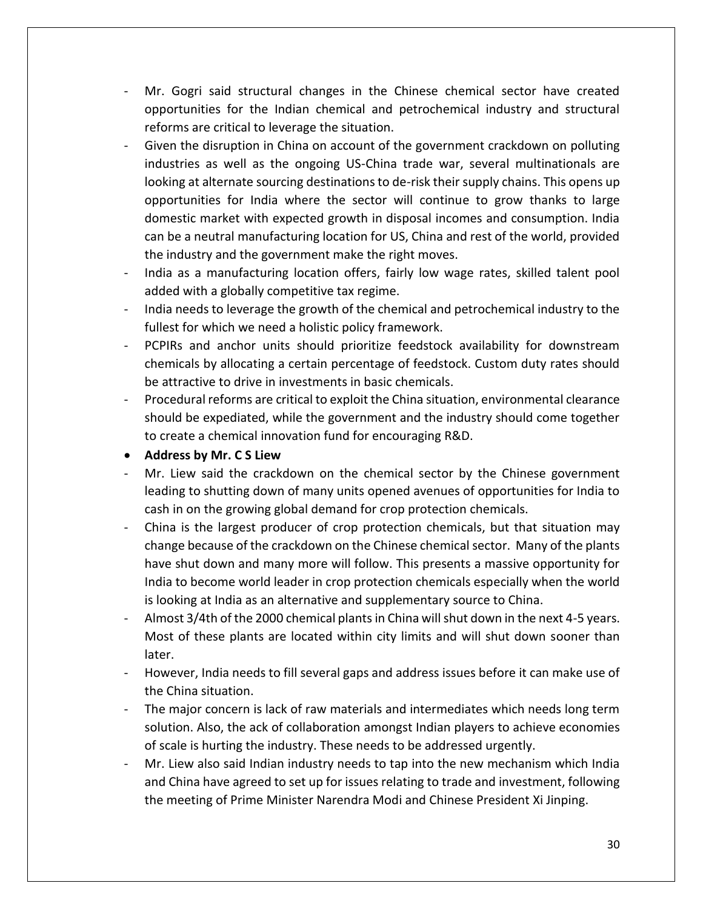- Mr. Gogri said structural changes in the Chinese chemical sector have created opportunities for the Indian chemical and petrochemical industry and structural reforms are critical to leverage the situation.
- Given the disruption in China on account of the government crackdown on polluting industries as well as the ongoing US-China trade war, several multinationals are looking at alternate sourcing destinations to de-risk their supply chains. This opens up opportunities for India where the sector will continue to grow thanks to large domestic market with expected growth in disposal incomes and consumption. India can be a neutral manufacturing location for US, China and rest of the world, provided the industry and the government make the right moves.
- India as a manufacturing location offers, fairly low wage rates, skilled talent pool added with a globally competitive tax regime.
- India needs to leverage the growth of the chemical and petrochemical industry to the fullest for which we need a holistic policy framework.
- PCPIRs and anchor units should prioritize feedstock availability for downstream chemicals by allocating a certain percentage of feedstock. Custom duty rates should be attractive to drive in investments in basic chemicals.
- Procedural reforms are critical to exploit the China situation, environmental clearance should be expediated, while the government and the industry should come together to create a chemical innovation fund for encouraging R&D.
- **Address by Mr. C S Liew**
- Mr. Liew said the crackdown on the chemical sector by the Chinese government leading to shutting down of many units opened avenues of opportunities for India to cash in on the growing global demand for crop protection chemicals.
- China is the largest producer of crop protection chemicals, but that situation may change because of the crackdown on the Chinese chemical sector. Many of the plants have shut down and many more will follow. This presents a massive opportunity for India to become world leader in crop protection chemicals especially when the world is looking at India as an alternative and supplementary source to China.
- Almost 3/4th of the 2000 chemical plants in China will shut down in the next 4-5 years. Most of these plants are located within city limits and will shut down sooner than later.
- However, India needs to fill several gaps and address issues before it can make use of the China situation.
- The major concern is lack of raw materials and intermediates which needs long term solution. Also, the ack of collaboration amongst Indian players to achieve economies of scale is hurting the industry. These needs to be addressed urgently.
- Mr. Liew also said Indian industry needs to tap into the new mechanism which India and China have agreed to set up for issues relating to trade and investment, following the meeting of Prime Minister Narendra Modi and Chinese President Xi Jinping.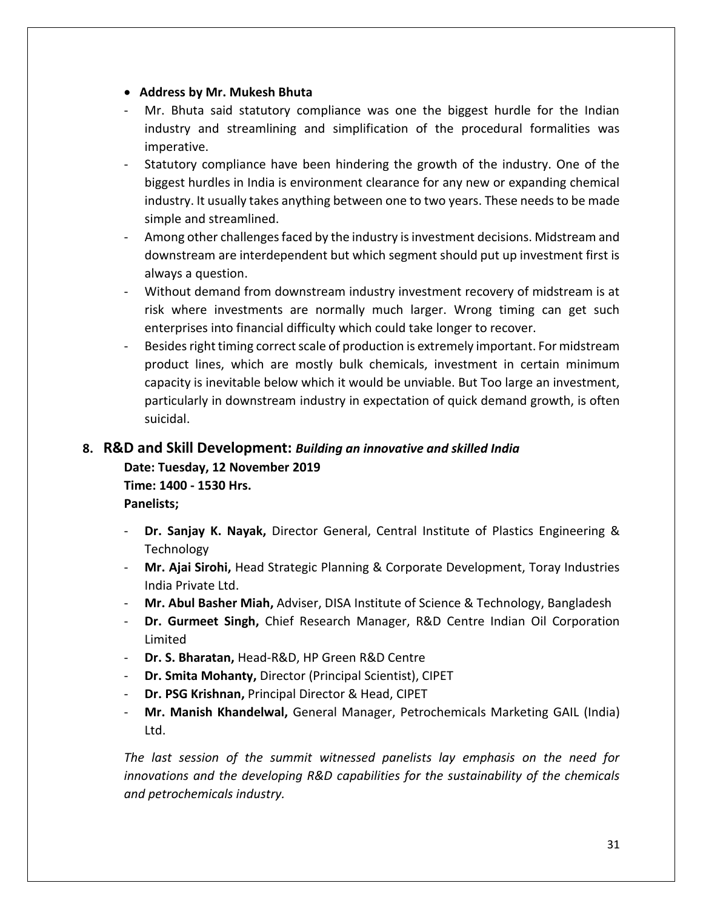- **Address by Mr. Mukesh Bhuta**
- Mr. Bhuta said statutory compliance was one the biggest hurdle for the Indian industry and streamlining and simplification of the procedural formalities was imperative.
- Statutory compliance have been hindering the growth of the industry. One of the biggest hurdles in India is environment clearance for any new or expanding chemical industry. It usually takes anything between one to two years. These needs to be made simple and streamlined.
- Among other challenges faced by the industry is investment decisions. Midstream and downstream are interdependent but which segment should put up investment first is always a question.
- Without demand from downstream industry investment recovery of midstream is at risk where investments are normally much larger. Wrong timing can get such enterprises into financial difficulty which could take longer to recover.
- Besides right timing correct scale of production is extremely important. For midstream product lines, which are mostly bulk chemicals, investment in certain minimum capacity is inevitable below which it would be unviable. But Too large an investment, particularly in downstream industry in expectation of quick demand growth, is often suicidal.

# <span id="page-31-0"></span>**8. R&D and Skill Development:** *Building an innovative and skilled India* **Date: Tuesday, 12 November 2019 Time: 1400 - 1530 Hrs.**

**Panelists;** 

- **Dr. Sanjay K. Nayak,** Director General, Central Institute of Plastics Engineering & Technology
- **Mr. Ajai Sirohi,** Head Strategic Planning & Corporate Development, Toray Industries India Private Ltd.
- **Mr. Abul Basher Miah,** Adviser, DISA Institute of Science & Technology, Bangladesh
- **Dr. Gurmeet Singh,** Chief Research Manager, R&D Centre Indian Oil Corporation Limited
- **Dr. S. Bharatan,** Head-R&D, HP Green R&D Centre
- **Dr. Smita Mohanty,** Director (Principal Scientist), CIPET
- **Dr. PSG Krishnan,** Principal Director & Head, CIPET
- **Mr. Manish Khandelwal,** General Manager, Petrochemicals Marketing GAIL (India) Ltd.

*The last session of the summit witnessed panelists lay emphasis on the need for innovations and the developing R&D capabilities for the sustainability of the chemicals and petrochemicals industry.*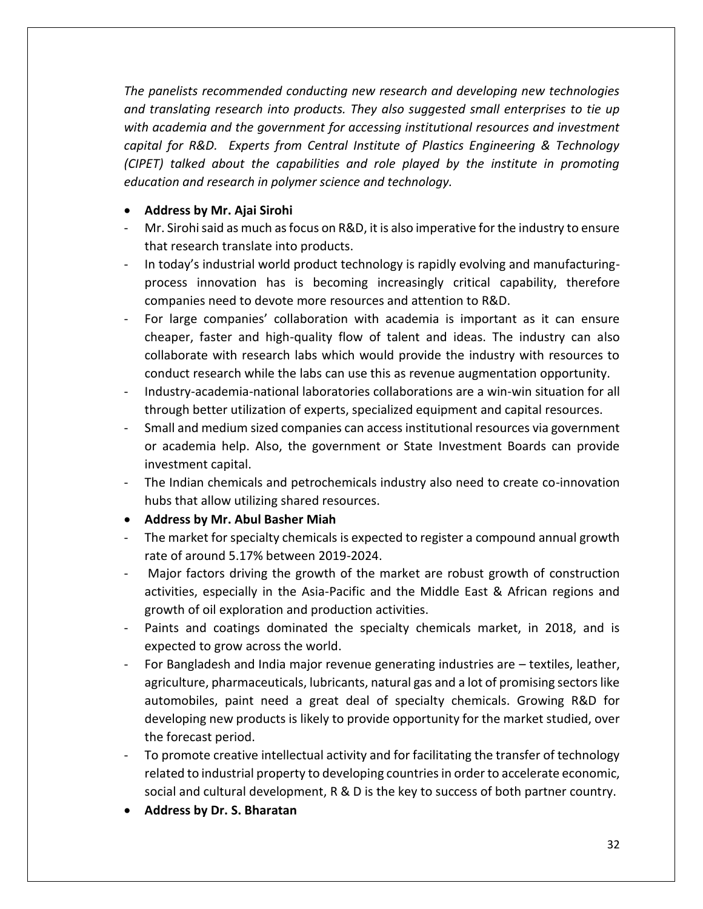*The panelists recommended conducting new research and developing new technologies and translating research into products. They also suggested small enterprises to tie up with academia and the government for accessing institutional resources and investment capital for R&D. Experts from Central Institute of Plastics Engineering & Technology (CIPET) talked about the capabilities and role played by the institute in promoting education and research in polymer science and technology.* 

### • **Address by Mr. Ajai Sirohi**

- Mr. Sirohi said as much as focus on R&D, it is also imperative for the industry to ensure that research translate into products.
- In today's industrial world product technology is rapidly evolving and manufacturingprocess innovation has is becoming increasingly critical capability, therefore companies need to devote more resources and attention to R&D.
- For large companies' collaboration with academia is important as it can ensure cheaper, faster and high-quality flow of talent and ideas. The industry can also collaborate with research labs which would provide the industry with resources to conduct research while the labs can use this as revenue augmentation opportunity.
- Industry-academia-national laboratories collaborations are a win-win situation for all through better utilization of experts, specialized equipment and capital resources.
- Small and medium sized companies can access institutional resources via government or academia help. Also, the government or State Investment Boards can provide investment capital.
- The Indian chemicals and petrochemicals industry also need to create co-innovation hubs that allow utilizing shared resources.
- **Address by Mr. Abul Basher Miah**
- The market for specialty chemicals is expected to register a compound annual growth rate of around 5.17% between 2019-2024.
- Major factors driving the growth of the market are robust growth of construction activities, especially in the Asia-Pacific and the Middle East & African regions and growth of oil exploration and production activities.
- Paints and coatings dominated the specialty chemicals market, in 2018, and is expected to grow across the world.
- For Bangladesh and India major revenue generating industries are textiles, leather, agriculture, pharmaceuticals, lubricants, natural gas and a lot of promising sectors like automobiles, paint need a great deal of specialty chemicals. Growing R&D for developing new products is likely to provide opportunity for the market studied, over the forecast period.
- To promote creative intellectual activity and for facilitating the transfer of technology related to industrial property to developing countries in order to accelerate economic, social and cultural development, R & D is the key to success of both partner country.
- **Address by Dr. S. Bharatan**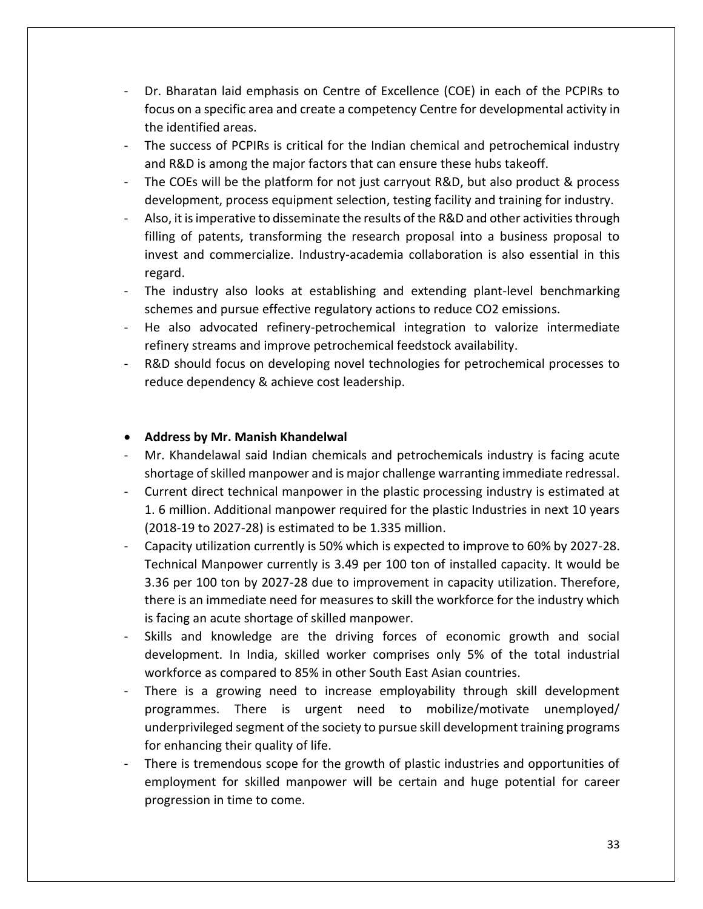- Dr. Bharatan laid emphasis on Centre of Excellence (COE) in each of the PCPIRs to focus on a specific area and create a competency Centre for developmental activity in the identified areas.
- The success of PCPIRs is critical for the Indian chemical and petrochemical industry and R&D is among the major factors that can ensure these hubs takeoff.
- The COEs will be the platform for not just carryout R&D, but also product & process development, process equipment selection, testing facility and training for industry.
- Also, it is imperative to disseminate the results of the R&D and other activities through filling of patents, transforming the research proposal into a business proposal to invest and commercialize. Industry-academia collaboration is also essential in this regard.
- The industry also looks at establishing and extending plant-level benchmarking schemes and pursue effective regulatory actions to reduce CO2 emissions.
- He also advocated refinery-petrochemical integration to valorize intermediate refinery streams and improve petrochemical feedstock availability.
- R&D should focus on developing novel technologies for petrochemical processes to reduce dependency & achieve cost leadership.

#### • **Address by Mr. Manish Khandelwal**

- Mr. Khandelawal said Indian chemicals and petrochemicals industry is facing acute shortage of skilled manpower and is major challenge warranting immediate redressal.
- Current direct technical manpower in the plastic processing industry is estimated at 1. 6 million. Additional manpower required for the plastic Industries in next 10 years (2018-19 to 2027-28) is estimated to be 1.335 million.
- Capacity utilization currently is 50% which is expected to improve to 60% by 2027-28. Technical Manpower currently is 3.49 per 100 ton of installed capacity. It would be 3.36 per 100 ton by 2027-28 due to improvement in capacity utilization. Therefore, there is an immediate need for measures to skill the workforce for the industry which is facing an acute shortage of skilled manpower.
- Skills and knowledge are the driving forces of economic growth and social development. In India, skilled worker comprises only 5% of the total industrial workforce as compared to 85% in other South East Asian countries.
- There is a growing need to increase employability through skill development programmes. There is urgent need to mobilize/motivate unemployed/ underprivileged segment of the society to pursue skill development training programs for enhancing their quality of life.
- There is tremendous scope for the growth of plastic industries and opportunities of employment for skilled manpower will be certain and huge potential for career progression in time to come.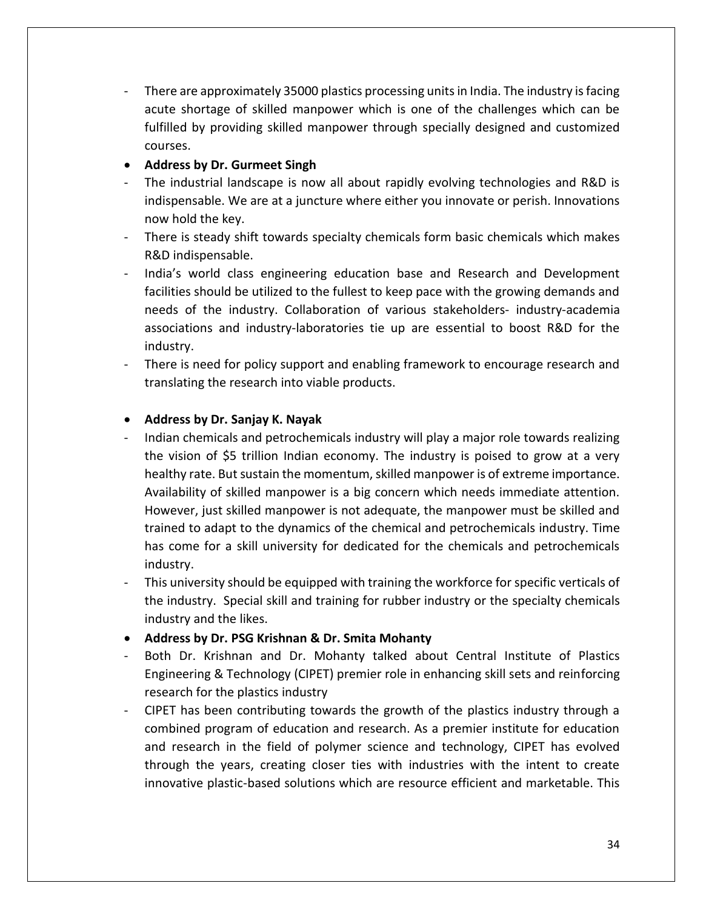- There are approximately 35000 plastics processing units in India. The industry is facing acute shortage of skilled manpower which is one of the challenges which can be fulfilled by providing skilled manpower through specially designed and customized courses.
- **Address by Dr. Gurmeet Singh**
- The industrial landscape is now all about rapidly evolving technologies and R&D is indispensable. We are at a juncture where either you innovate or perish. Innovations now hold the key.
- There is steady shift towards specialty chemicals form basic chemicals which makes R&D indispensable.
- India's world class engineering education base and Research and Development facilities should be utilized to the fullest to keep pace with the growing demands and needs of the industry. Collaboration of various stakeholders- industry-academia associations and industry-laboratories tie up are essential to boost R&D for the industry.
- There is need for policy support and enabling framework to encourage research and translating the research into viable products.

#### • **Address by Dr. Sanjay K. Nayak**

- Indian chemicals and petrochemicals industry will play a major role towards realizing the vision of \$5 trillion Indian economy. The industry is poised to grow at a very healthy rate. But sustain the momentum, skilled manpower is of extreme importance. Availability of skilled manpower is a big concern which needs immediate attention. However, just skilled manpower is not adequate, the manpower must be skilled and trained to adapt to the dynamics of the chemical and petrochemicals industry. Time has come for a skill university for dedicated for the chemicals and petrochemicals industry.
- This university should be equipped with training the workforce for specific verticals of the industry. Special skill and training for rubber industry or the specialty chemicals industry and the likes.
- **Address by Dr. PSG Krishnan & Dr. Smita Mohanty**
- Both Dr. Krishnan and Dr. Mohanty talked about Central Institute of Plastics Engineering & Technology (CIPET) premier role in enhancing skill sets and reinforcing research for the plastics industry
- CIPET has been contributing towards the growth of the plastics industry through a combined program of education and research. As a premier institute for education and research in the field of polymer science and technology, CIPET has evolved through the years, creating closer ties with industries with the intent to create innovative plastic-based solutions which are resource efficient and marketable. This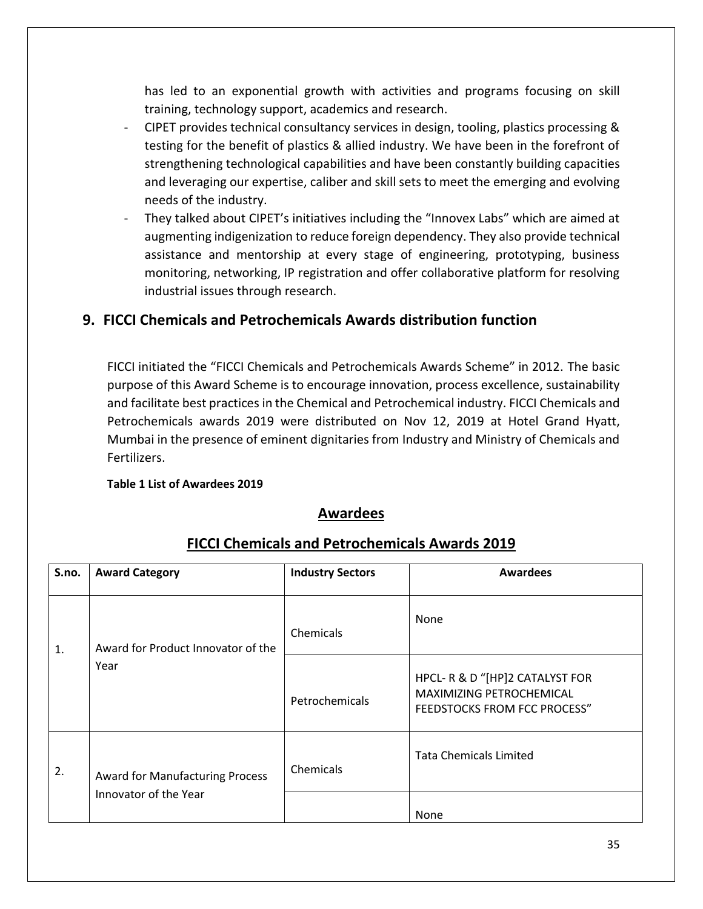has led to an exponential growth with activities and programs focusing on skill training, technology support, academics and research.

- CIPET provides technical consultancy services in design, tooling, plastics processing & testing for the benefit of plastics & allied industry. We have been in the forefront of strengthening technological capabilities and have been constantly building capacities and leveraging our expertise, caliber and skill sets to meet the emerging and evolving needs of the industry.
- They talked about CIPET's initiatives including the "Innovex Labs" which are aimed at augmenting indigenization to reduce foreign dependency. They also provide technical assistance and mentorship at every stage of engineering, prototyping, business monitoring, networking, IP registration and offer collaborative platform for resolving industrial issues through research.

# <span id="page-35-0"></span>**9. FICCI Chemicals and Petrochemicals Awards distribution function**

FICCI initiated the "FICCI Chemicals and Petrochemicals Awards Scheme" in 2012. The basic purpose of this Award Scheme is to encourage innovation, process excellence, sustainability and facilitate best practices in the Chemical and Petrochemical industry. FICCI Chemicals and Petrochemicals awards 2019 were distributed on Nov 12, 2019 at Hotel Grand Hyatt, Mumbai in the presence of eminent dignitaries from Industry and Ministry of Chemicals and Fertilizers.

#### **Table 1 List of Awardees 2019**

## **Awardees**

| S.no. | <b>Award Category</b>                                           | <b>Industry Sectors</b> | <b>Awardees</b>                                                                            |
|-------|-----------------------------------------------------------------|-------------------------|--------------------------------------------------------------------------------------------|
| 1.    | Award for Product Innovator of the<br>Year                      | Chemicals               | None                                                                                       |
|       |                                                                 | Petrochemicals          | HPCL-R & D "[HP]2 CATALYST FOR<br>MAXIMIZING PETROCHEMICAL<br>FEEDSTOCKS FROM FCC PROCESS" |
| 2.    | <b>Award for Manufacturing Process</b><br>Innovator of the Year | Chemicals               | <b>Tata Chemicals Limited</b>                                                              |
|       |                                                                 |                         | None                                                                                       |

# **FICCI Chemicals and Petrochemicals Awards 2019**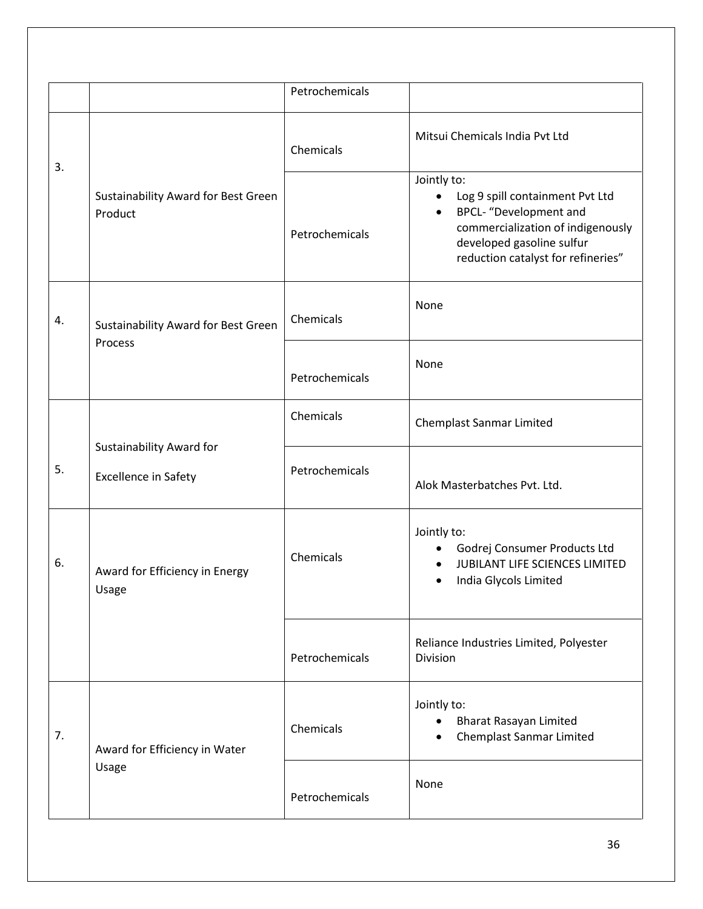|    |                                                         | Petrochemicals |                                                                                                                                                                                                                   |
|----|---------------------------------------------------------|----------------|-------------------------------------------------------------------------------------------------------------------------------------------------------------------------------------------------------------------|
|    | Sustainability Award for Best Green<br>Product          | Chemicals      | Mitsui Chemicals India Pvt Ltd                                                                                                                                                                                    |
| 3. |                                                         | Petrochemicals | Jointly to:<br>Log 9 spill containment Pvt Ltd<br>$\bullet$<br><b>BPCL-</b> "Development and<br>$\bullet$<br>commercialization of indigenously<br>developed gasoline sulfur<br>reduction catalyst for refineries" |
| 4. | Sustainability Award for Best Green<br>Process          | Chemicals      | None                                                                                                                                                                                                              |
|    |                                                         | Petrochemicals | None                                                                                                                                                                                                              |
|    |                                                         | Chemicals      | <b>Chemplast Sanmar Limited</b>                                                                                                                                                                                   |
| 5. | Sustainability Award for<br><b>Excellence in Safety</b> | Petrochemicals | Alok Masterbatches Pvt. Ltd.                                                                                                                                                                                      |
| 6. | Award for Efficiency in Energy<br>Usage                 | Chemicals      | Jointly to:<br>Godrej Consumer Products Ltd<br>$\bullet$<br>JUBILANT LIFE SCIENCES LIMITED<br>• India Glycols Limited                                                                                             |
|    |                                                         | Petrochemicals | Reliance Industries Limited, Polyester<br>Division                                                                                                                                                                |
| 7. | Award for Efficiency in Water<br>Usage                  | Chemicals      | Jointly to:<br><b>Bharat Rasayan Limited</b><br><b>Chemplast Sanmar Limited</b>                                                                                                                                   |
|    |                                                         | Petrochemicals | None                                                                                                                                                                                                              |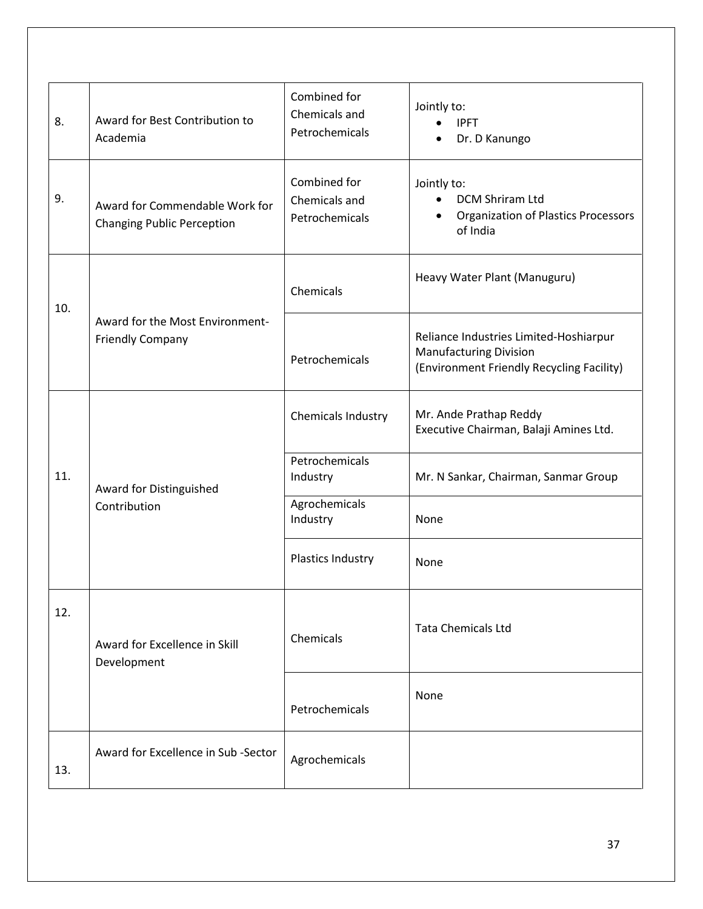| 8.  | Award for Best Contribution to<br>Academia                          | Combined for<br>Chemicals and<br>Petrochemicals | Jointly to:<br><b>IPFT</b><br>$\bullet$<br>Dr. D Kanungo                                                                  |
|-----|---------------------------------------------------------------------|-------------------------------------------------|---------------------------------------------------------------------------------------------------------------------------|
| 9.  | Award for Commendable Work for<br><b>Changing Public Perception</b> | Combined for<br>Chemicals and<br>Petrochemicals | Jointly to:<br><b>DCM Shriram Ltd</b><br>$\bullet$<br><b>Organization of Plastics Processors</b><br>$\bullet$<br>of India |
| 10. | Award for the Most Environment-<br><b>Friendly Company</b>          | Chemicals                                       | Heavy Water Plant (Manuguru)                                                                                              |
|     |                                                                     | Petrochemicals                                  | Reliance Industries Limited-Hoshiarpur<br><b>Manufacturing Division</b><br>(Environment Friendly Recycling Facility)      |
|     |                                                                     | Chemicals Industry                              | Mr. Ande Prathap Reddy<br>Executive Chairman, Balaji Amines Ltd.                                                          |
| 11. | Award for Distinguished<br>Contribution                             | Petrochemicals<br>Industry                      | Mr. N Sankar, Chairman, Sanmar Group                                                                                      |
|     |                                                                     | Agrochemicals<br>Industry                       | None                                                                                                                      |
|     |                                                                     | Plastics Industry                               | None                                                                                                                      |
| 12. | Award for Excellence in Skill<br>Development                        | Chemicals                                       | <b>Tata Chemicals Ltd</b>                                                                                                 |
|     |                                                                     | Petrochemicals                                  | None                                                                                                                      |
| 13. | Award for Excellence in Sub-Sector                                  | Agrochemicals                                   |                                                                                                                           |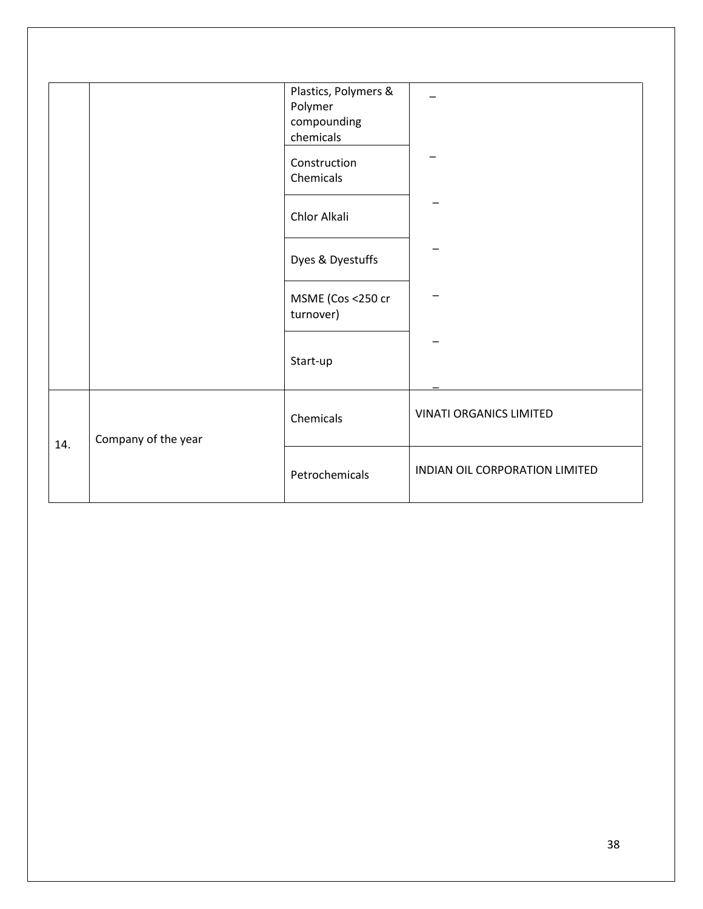|     |                     | Plastics, Polymers &<br>Polymer<br>compounding |                                |
|-----|---------------------|------------------------------------------------|--------------------------------|
|     |                     | chemicals                                      |                                |
|     |                     | Construction<br>Chemicals                      |                                |
|     |                     | Chlor Alkali                                   |                                |
|     |                     | Dyes & Dyestuffs                               |                                |
|     |                     | MSME (Cos <250 cr<br>turnover)                 |                                |
|     |                     | Start-up                                       |                                |
| 14. | Company of the year | Chemicals                                      | <b>VINATI ORGANICS LIMITED</b> |
|     |                     | Petrochemicals                                 | INDIAN OIL CORPORATION LIMITED |